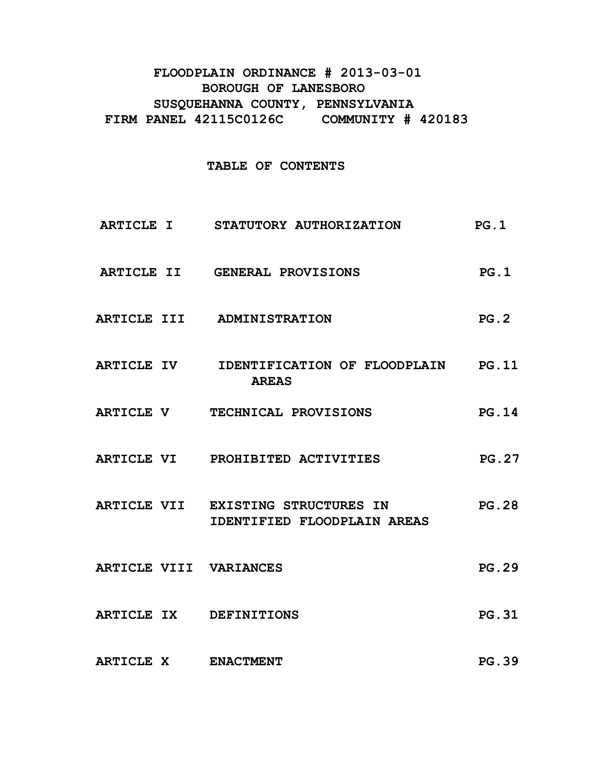# **FLOODPLAIN ORDINANCE # 2013-03-01 BOROUGH OF LANESBORO SUSQUEHANNA COUNTY, PENNSYLVANIA FIRM PANEL 42115C0126C COMMUNITY # 420183**

## **TABLE OF CONTENTS**

- **ARTICLE I STATUTORY AUTHORIZATION PG.1**
- ARTICLE II GENERAL PROVISIONS PG.1
- **ARTICLE III ADMINISTRATION PG.2**
- **ARTICLE IV IDENTIFICATION OF FLOODPLAIN PG.11 AREAS**
- **ARTICLE V TECHNICAL PROVISIONS PG.14**
- **ARTICLE VI PROHIBITED ACTIVITIES PG.27**
- **ARTICLE VII EXISTING STRUCTURES IN PG.28 IDENTIFIED FLOODPLAIN AREAS**
- ARTICLE VIII VARIANCES PG.29
- **ARTICLE IX DEFINITIONS PG.31**
- **ARTICLE X ENACTMENT PG.39**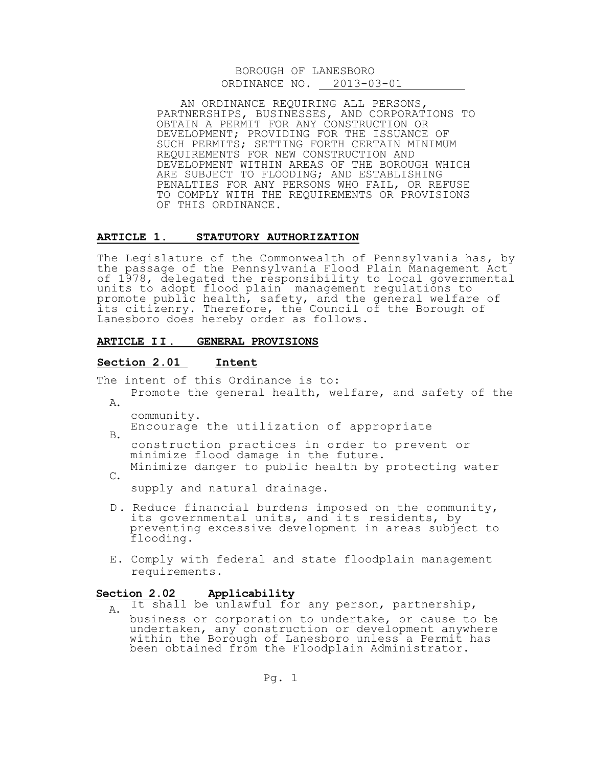|               | BOROUGH OF LANESBORO |
|---------------|----------------------|
| ORDINANCE NO. | 2013-03-01           |

AN ORDINANCE REQUIRING ALL PERSONS, PARTNERSHIPS, BUSINESSES, AND CORPORATIONS TO OBTAIN A PERMIT FOR ANY CONSTRUCTION OR DEVELOPMENT; PROVIDING FOR THE ISSUANCE OF SUCH PERMITS; SETTING FORTH CERTAIN MINIMUM REQUIREMENTS FOR NEW CONSTRUCTION AND DEVELOPMENT WITHIN AREAS OF THE BOROUGH WHICH ARE SUBJECT TO FLOODING; AND ESTABLISHING PENALTIES FOR ANY PERSONS WHO FAIL, OR REFUSE TO COMPLY WITH THE REQUIREMENTS OR PROVISIONS OF THIS ORDINANCE.

#### **ARTICLE 1. STATUTORY AUTHORIZATION**

The Legislature of the Commonwealth of Pennsylvania has, by the passage of the Pennsylvania Flood Plain Management Act of 1978, delegated the responsibility to local governmental units to adopt flood plain management regulations to promote public health, safety, and the general welfare of its citizenry. Therefore, the Council of the Borough of Lanesboro does hereby order as follows.

#### **ARTICLE I I. GENERAL PROVISIONS**

#### **Section 2.01 Intent**

The intent of this Ordinance is to:

- A. Promote the general health, welfare, and safety of the
	- community.

B.

Encourage the utilization of appropriate

 construction practices in order to prevent or minimize flood damage in the future.

C. Minimize danger to public health by protecting water

supply and natural drainage.

- D. Reduce financial burdens imposed on the community, its governmental units, and its residents, by preventing excessive development in areas subject to flooding.
- E. Comply with federal and state floodplain management requirements.

#### **Section 2.02 Applicability**

A. It shall be unlawful for any person, partnership,

 business or corporation to undertake, or cause to be undertaken, any construction or development anywhere within the Borough of Lanesboro unless a Permit has been obtained from the Floodplain Administrator.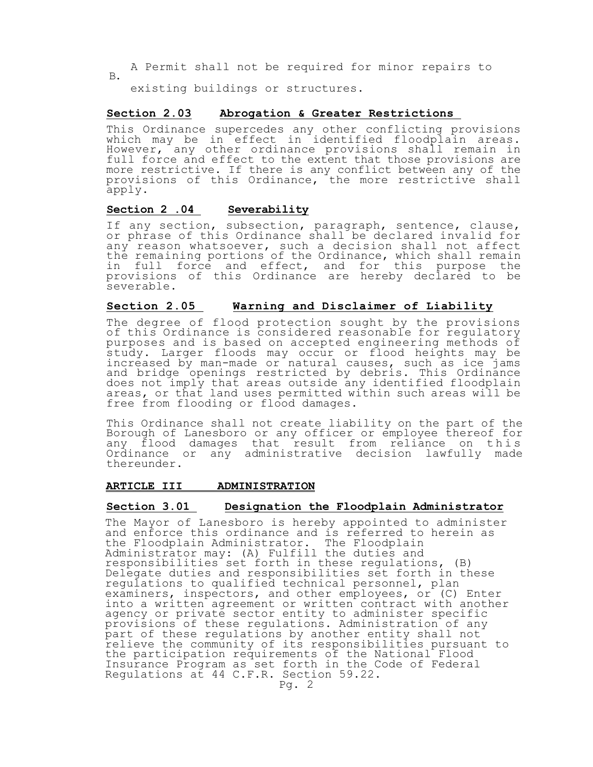B. A Permit shall not be required for minor repairs to

existing buildings or structures.

### **Section 2.03 Abrogation & Greater Restrictions**

This Ordinance supercedes any other conflicting provisions which may be in effect in identified floodplain areas. However, any other ordinance provisions shall remain in full force and effect to the extent that those provisions are more restrictive. If there is any conflict between any of the provisions of this Ordinance, the more restrictive shall apply.

### **Section 2 .04 Severability**

If any section, subsection, paragraph, sentence, clause, or phrase of this Ordinance shall be declared invalid for any reason whatsoever, such a decision shall not affect the remaining portions of the Ordinance, which shall remain in full force and effect, and for this purpose the provisions of this Ordinance are hereby declared to be severable.

### **Section 2.05 Warning and Disclaimer of Liability**

The degree of flood protection sought by the provisions of this Ordinance is considered reasonable for regulatory purposes and is based on accepted engineering methods of study. Larger floods may occur or flood heights may be increased by man-made or natural causes, such as ice jams and bridge openings restricted by debris. This Ordinance does not imply that areas outside any identified floodplain areas, or that land uses permitted within such areas will be free from flooding or flood damages.

This Ordinance shall not create liability on the part of the Borough of Lanesboro or any officer or employee thereof for any flood damages that result from reliance on this Ordinance or any administrative decision lawfully made thereunder.

#### **ARTICLE III ADMINISTRATION**

### **Section 3.01 Designation the Floodplain Administrator**

The Mayor of Lanesboro is hereby appointed to administer and enforce this ordinance and is referred to herein as the Floodplain Administrator. The Floodplain Administrator may: (A) Fulfill the duties and responsibilities set forth in these regulations, (B) Delegate duties and responsibilities set forth in these regulations to qualified technical personnel, plan examiners, inspectors, and other employees, or (C) Enter into a written agreement or written contract with another agency or private sector entity to administer specific provisions of these regulations. Administration of any part of these regulations by another entity shall not relieve the community of its responsibilities pursuant to the participation requirements of the National Flood Insurance Program as set forth in the Code of Federal Regulations at 44 C.F.R. Section 59.22.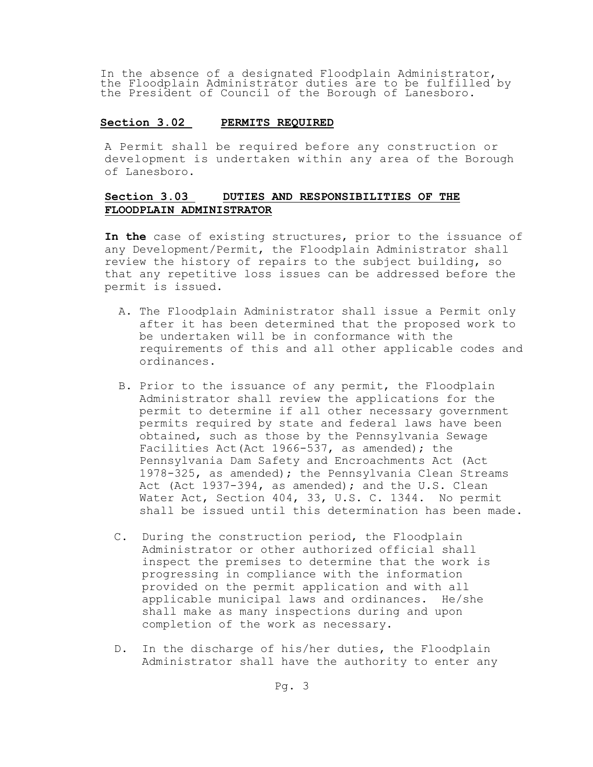In the absence of a designated Floodplain Administrator, the Floodplain Administrator duties are to be fulfilled by the President of Council of the Borough of Lanesboro.

### **Section 3.02 PERMITS REQUIRED**

A Permit shall be required before any construction or development is undertaken within any area of the Borough of Lanesboro.

## **Section 3.03 DUTIES AND RESPONSIBILITIES OF THE FLOODPLAIN ADMINISTRATOR**

**In the** case of existing structures, prior to the issuance of any Development/Permit, the Floodplain Administrator shall review the history of repairs to the subject building, so that any repetitive loss issues can be addressed before the permit is issued.

- A. The Floodplain Administrator shall issue a Permit only after it has been determined that the proposed work to be undertaken will be in conformance with the requirements of this and all other applicable codes and ordinances.
- B. Prior to the issuance of any permit, the Floodplain Administrator shall review the applications for the permit to determine if all other necessary government permits required by state and federal laws have been obtained, such as those by the Pennsylvania Sewage Facilities Act(Act 1966-537, as amended); the Pennsylvania Dam Safety and Encroachments Act (Act 1978-325, as amended); the Pennsylvania Clean Streams Act (Act 1937-394, as amended); and the U.S. Clean Water Act, Section 404, 33, U.S. C. 1344. No permit shall be issued until this determination has been made.
- C. During the construction period, the Floodplain Administrator or other authorized official shall inspect the premises to determine that the work is progressing in compliance with the information provided on the permit application and with all applicable municipal laws and ordinances. He/she shall make as many inspections during and upon completion of the work as necessary.
- D. In the discharge of his/her duties, the Floodplain Administrator shall have the authority to enter any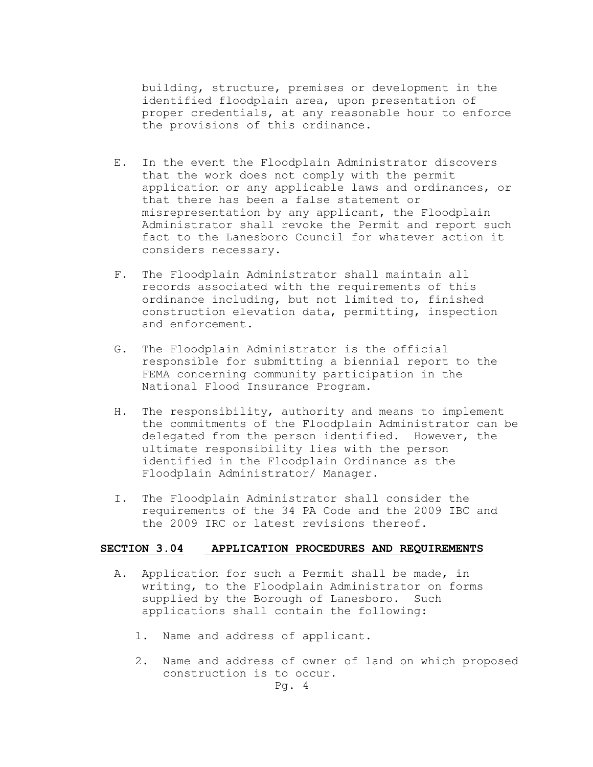building, structure, premises or development in the identified floodplain area, upon presentation of proper credentials, at any reasonable hour to enforce the provisions of this ordinance.

- E. In the event the Floodplain Administrator discovers that the work does not comply with the permit application or any applicable laws and ordinances, or that there has been a false statement or misrepresentation by any applicant, the Floodplain Administrator shall revoke the Permit and report such fact to the Lanesboro Council for whatever action it considers necessary.
- F. The Floodplain Administrator shall maintain all records associated with the requirements of this ordinance including, but not limited to, finished construction elevation data, permitting, inspection and enforcement.
- G. The Floodplain Administrator is the official responsible for submitting a biennial report to the FEMA concerning community participation in the National Flood Insurance Program.
- H. The responsibility, authority and means to implement the commitments of the Floodplain Administrator can be delegated from the person identified. However, the ultimate responsibility lies with the person identified in the Floodplain Ordinance as the Floodplain Administrator/ Manager.
- I. The Floodplain Administrator shall consider the requirements of the 34 PA Code and the 2009 IBC and the 2009 IRC or latest revisions thereof.

#### **SECTION 3.04 APPLICATION PROCEDURES AND REQUIREMENTS**

- A. Application for such a Permit shall be made, in writing, to the Floodplain Administrator on forms supplied by the Borough of Lanesboro. Such applications shall contain the following:
	- 1. Name and address of applicant.
	- 2. Name and address of owner of land on which proposed construction is to occur.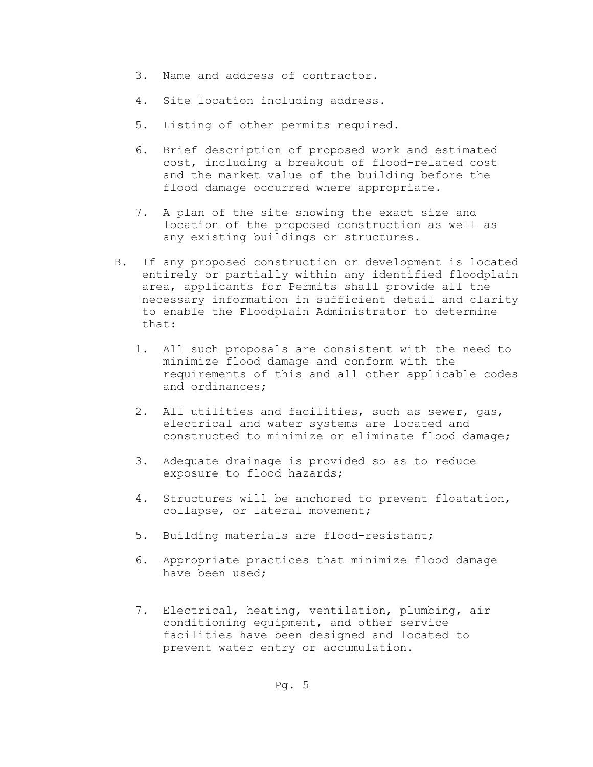- 3. Name and address of contractor.
- 4. Site location including address.
- 5. Listing of other permits required.
- 6. Brief description of proposed work and estimated cost, including a breakout of flood-related cost and the market value of the building before the flood damage occurred where appropriate.
- 7. A plan of the site showing the exact size and location of the proposed construction as well as any existing buildings or structures.
- B. If any proposed construction or development is located entirely or partially within any identified floodplain area, applicants for Permits shall provide all the necessary information in sufficient detail and clarity to enable the Floodplain Administrator to determine that:
	- 1. All such proposals are consistent with the need to minimize flood damage and conform with the requirements of this and all other applicable codes and ordinances;
	- 2. All utilities and facilities, such as sewer, gas, electrical and water systems are located and constructed to minimize or eliminate flood damage;
	- 3. Adequate drainage is provided so as to reduce exposure to flood hazards;
	- 4. Structures will be anchored to prevent floatation, collapse, or lateral movement;
	- 5. Building materials are flood-resistant;
	- 6. Appropriate practices that minimize flood damage have been used;
	- 7. Electrical, heating, ventilation, plumbing, air conditioning equipment, and other service facilities have been designed and located to prevent water entry or accumulation.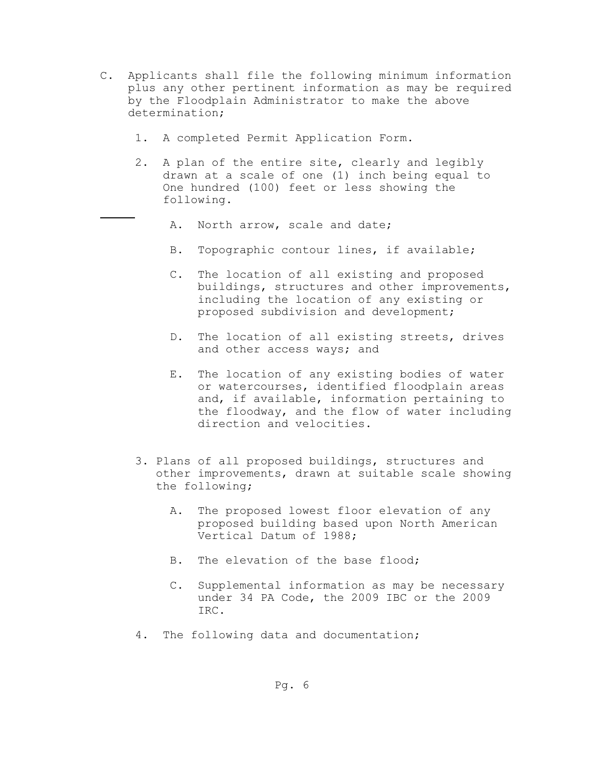- C. Applicants shall file the following minimum information plus any other pertinent information as may be required by the Floodplain Administrator to make the above determination;
	- 1. A completed Permit Application Form.
	- 2. A plan of the entire site, clearly and legibly drawn at a scale of one (1) inch being equal to One hundred (100) feet or less showing the following.
		- A. North arrow, scale and date;
		- B. Topographic contour lines, if available;
		- C. The location of all existing and proposed buildings, structures and other improvements, including the location of any existing or proposed subdivision and development;
		- D. The location of all existing streets, drives and other access ways; and
		- E. The location of any existing bodies of water or watercourses, identified floodplain areas and, if available, information pertaining to the floodway, and the flow of water including direction and velocities.
	- 3. Plans of all proposed buildings, structures and other improvements, drawn at suitable scale showing the following;
		- A. The proposed lowest floor elevation of any proposed building based upon North American Vertical Datum of 1988;
		- B. The elevation of the base flood;
		- C. Supplemental information as may be necessary under 34 PA Code, the 2009 IBC or the 2009 IRC.
	- 4. The following data and documentation;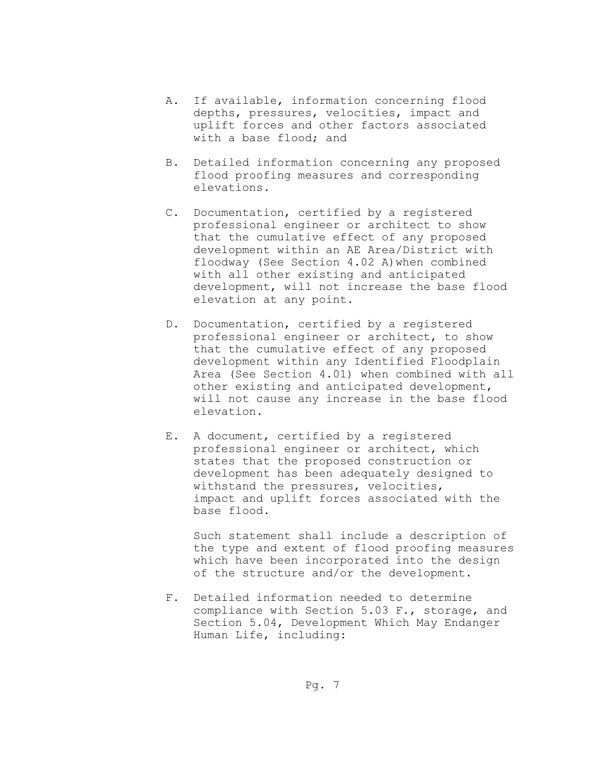- A. If available, information concerning flood depths, pressures, velocities, impact and uplift forces and other factors associated with a base flood; and
- B. Detailed information concerning any proposed flood proofing measures and corresponding elevations.
- C. Documentation, certified by a registered professional engineer or architect to show that the cumulative effect of any proposed development within an AE Area/District with floodway (See Section 4.02 A)when combined with all other existing and anticipated development, will not increase the base flood elevation at any point.
- D. Documentation, certified by a registered professional engineer or architect, to show that the cumulative effect of any proposed development within any Identified Floodplain Area (See Section 4.01) when combined with all other existing and anticipated development, will not cause any increase in the base flood elevation.
- E. A document, certified by a registered professional engineer or architect, which states that the proposed construction or development has been adequately designed to withstand the pressures, velocities, impact and uplift forces associated with the base flood.

 Such statement shall include a description of the type and extent of flood proofing measures which have been incorporated into the design of the structure and/or the development.

F. Detailed information needed to determine compliance with Section 5.03 F., storage, and Section 5.04, Development Which May Endanger Human Life, including: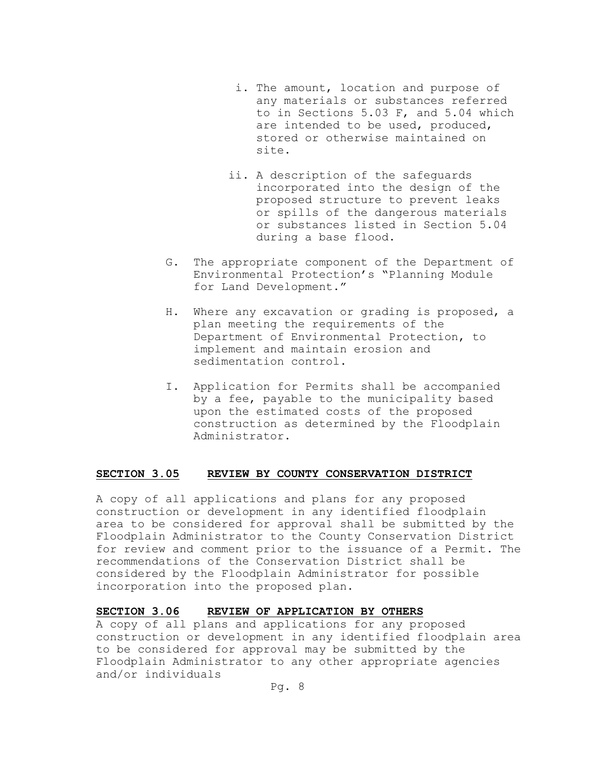- i. The amount, location and purpose of any materials or substances referred to in Sections 5.03 F, and 5.04 which are intended to be used, produced, stored or otherwise maintained on site.
- ii. A description of the safeguards incorporated into the design of the proposed structure to prevent leaks or spills of the dangerous materials or substances listed in Section 5.04 during a base flood.
- G. The appropriate component of the Department of Environmental Protection's "Planning Module for Land Development."
- H. Where any excavation or grading is proposed, a plan meeting the requirements of the Department of Environmental Protection, to implement and maintain erosion and sedimentation control.
- I. Application for Permits shall be accompanied by a fee, payable to the municipality based upon the estimated costs of the proposed construction as determined by the Floodplain Administrator.

### **SECTION 3.05 REVIEW BY COUNTY CONSERVATION DISTRICT**

A copy of all applications and plans for any proposed construction or development in any identified floodplain area to be considered for approval shall be submitted by the Floodplain Administrator to the County Conservation District for review and comment prior to the issuance of a Permit. The recommendations of the Conservation District shall be considered by the Floodplain Administrator for possible incorporation into the proposed plan.

### **SECTION 3.06 REVIEW OF APPLICATION BY OTHERS**

A copy of all plans and applications for any proposed construction or development in any identified floodplain area to be considered for approval may be submitted by the Floodplain Administrator to any other appropriate agencies and/or individuals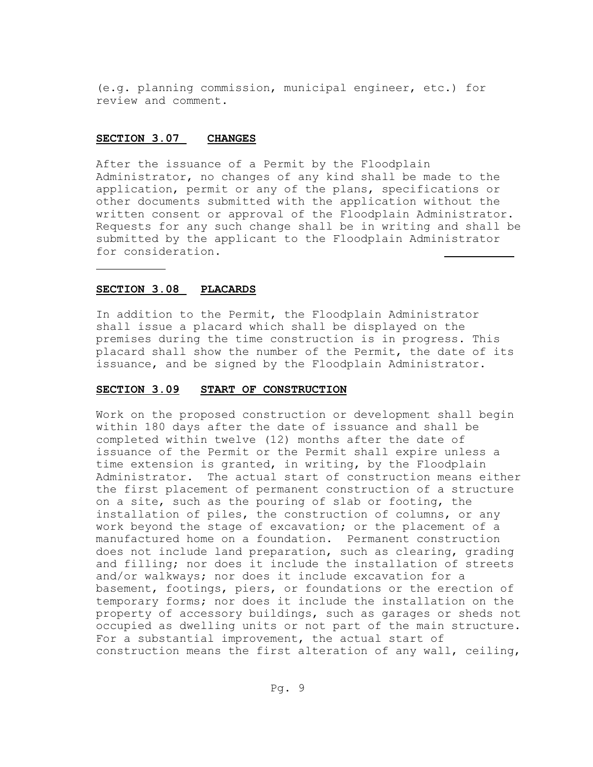(e.g. planning commission, municipal engineer, etc.) for review and comment.

#### **SECTION 3.07 CHANGES**

After the issuance of a Permit by the Floodplain Administrator, no changes of any kind shall be made to the application, permit or any of the plans, specifications or other documents submitted with the application without the written consent or approval of the Floodplain Administrator. Requests for any such change shall be in writing and shall be submitted by the applicant to the Floodplain Administrator for consideration.

#### **SECTION 3.08 PLACARDS**

In addition to the Permit, the Floodplain Administrator shall issue a placard which shall be displayed on the premises during the time construction is in progress. This placard shall show the number of the Permit, the date of its issuance, and be signed by the Floodplain Administrator.

#### **SECTION 3.09 START OF CONSTRUCTION**

Work on the proposed construction or development shall begin within 180 days after the date of issuance and shall be completed within twelve (12) months after the date of issuance of the Permit or the Permit shall expire unless a time extension is granted, in writing, by the Floodplain Administrator. The actual start of construction means either the first placement of permanent construction of a structure on a site, such as the pouring of slab or footing, the installation of piles, the construction of columns, or any work beyond the stage of excavation; or the placement of a manufactured home on a foundation. Permanent construction does not include land preparation, such as clearing, grading and filling; nor does it include the installation of streets and/or walkways; nor does it include excavation for a basement, footings, piers, or foundations or the erection of temporary forms; nor does it include the installation on the property of accessory buildings, such as garages or sheds not occupied as dwelling units or not part of the main structure. For a substantial improvement, the actual start of construction means the first alteration of any wall, ceiling,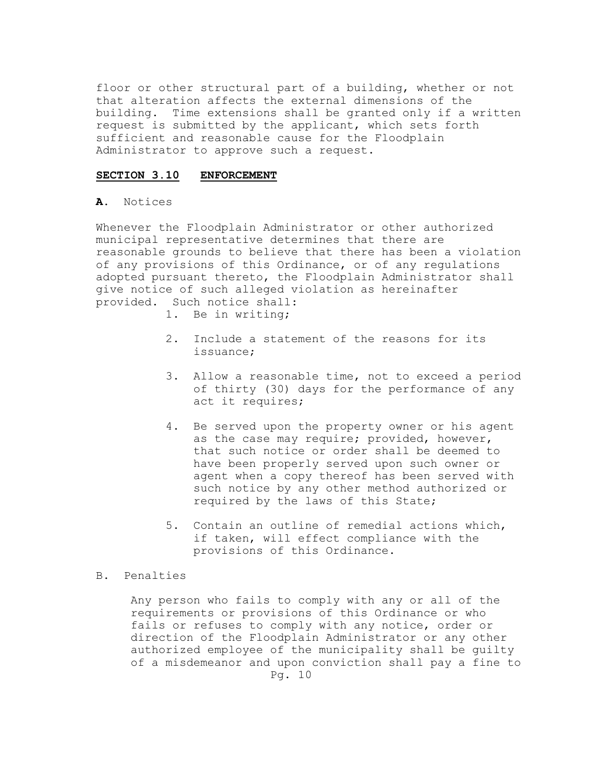floor or other structural part of a building, whether or not that alteration affects the external dimensions of the building. Time extensions shall be granted only if a written request is submitted by the applicant, which sets forth sufficient and reasonable cause for the Floodplain Administrator to approve such a request.

### **SECTION 3.10 ENFORCEMENT**

### **A**. Notices

Whenever the Floodplain Administrator or other authorized municipal representative determines that there are reasonable grounds to believe that there has been a violation of any provisions of this Ordinance, or of any regulations adopted pursuant thereto, the Floodplain Administrator shall give notice of such alleged violation as hereinafter provided. Such notice shall:

- 1. Be in writing;
- 2. Include a statement of the reasons for its issuance;
- 3. Allow a reasonable time, not to exceed a period of thirty (30) days for the performance of any act it requires;
- 4. Be served upon the property owner or his agent as the case may require; provided, however, that such notice or order shall be deemed to have been properly served upon such owner or agent when a copy thereof has been served with such notice by any other method authorized or required by the laws of this State;
- 5. Contain an outline of remedial actions which, if taken, will effect compliance with the provisions of this Ordinance.

### B. Penalties

Any person who fails to comply with any or all of the requirements or provisions of this Ordinance or who fails or refuses to comply with any notice, order or direction of the Floodplain Administrator or any other authorized employee of the municipality shall be guilty of a misdemeanor and upon conviction shall pay a fine to Pg. 10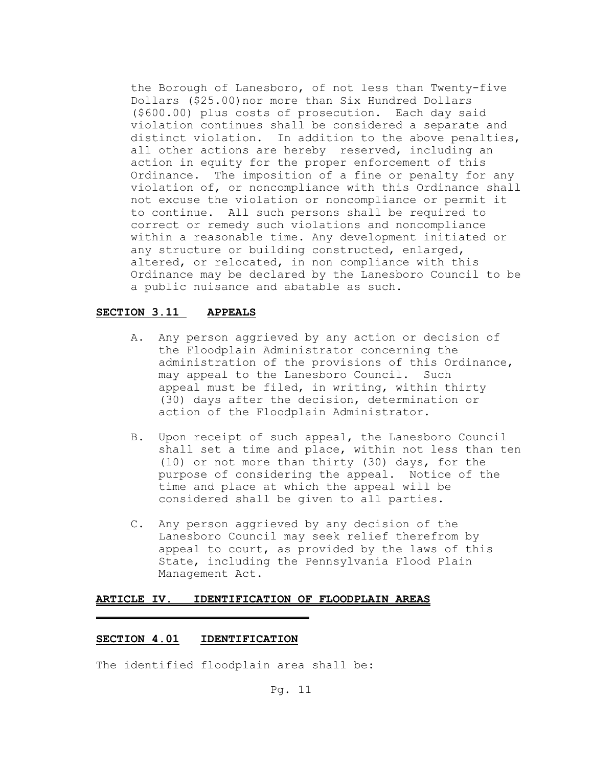the Borough of Lanesboro, of not less than Twenty-five Dollars (\$25.00)nor more than Six Hundred Dollars (\$600.00) plus costs of prosecution. Each day said violation continues shall be considered a separate and distinct violation. In addition to the above penalties, all other actions are hereby reserved, including an action in equity for the proper enforcement of this Ordinance. The imposition of a fine or penalty for any violation of, or noncompliance with this Ordinance shall not excuse the violation or noncompliance or permit it to continue. All such persons shall be required to correct or remedy such violations and noncompliance within a reasonable time. Any development initiated or any structure or building constructed, enlarged, altered, or relocated, in non compliance with this Ordinance may be declared by the Lanesboro Council to be a public nuisance and abatable as such.

### **SECTION 3.11 APPEALS**

- A. Any person aggrieved by any action or decision of the Floodplain Administrator concerning the administration of the provisions of this Ordinance, may appeal to the Lanesboro Council. Such appeal must be filed, in writing, within thirty (30) days after the decision, determination or action of the Floodplain Administrator.
- B. Upon receipt of such appeal, the Lanesboro Council shall set a time and place, within not less than ten (10) or not more than thirty (30) days, for the purpose of considering the appeal. Notice of the time and place at which the appeal will be considered shall be given to all parties.
- C. Any person aggrieved by any decision of the Lanesboro Council may seek relief therefrom by appeal to court, as provided by the laws of this State, including the Pennsylvania Flood Plain Management Act.

### **ARTICLE IV. IDENTIFICATION OF FLOODPLAIN AREAS**

### **SECTION 4.01 IDENTIFICATION**

The identified floodplain area shall be: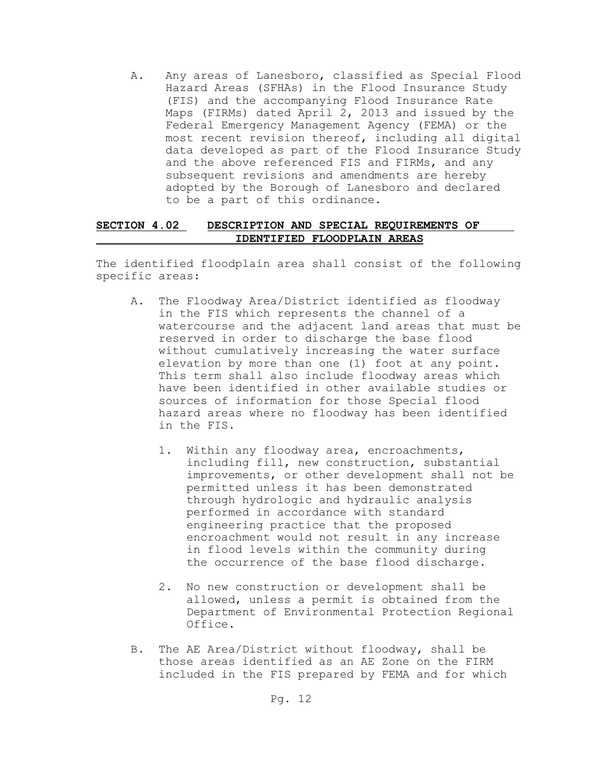A. Any areas of Lanesboro, classified as Special Flood Hazard Areas (SFHAs) in the Flood Insurance Study (FIS) and the accompanying Flood Insurance Rate Maps (FIRMs) dated April 2, 2013 and issued by the Federal Emergency Management Agency (FEMA) or the most recent revision thereof, including all digital data developed as part of the Flood Insurance Study and the above referenced FIS and FIRMs, and any subsequent revisions and amendments are hereby adopted by the Borough of Lanesboro and declared to be a part of this ordinance.

### **SECTION 4.02 DESCRIPTION AND SPECIAL REQUIREMENTS OF IDENTIFIED FLOODPLAIN AREAS**

The identified floodplain area shall consist of the following specific areas:

- A. The Floodway Area/District identified as floodway in the FIS which represents the channel of a watercourse and the adjacent land areas that must be reserved in order to discharge the base flood without cumulatively increasing the water surface elevation by more than one (1) foot at any point. This term shall also include floodway areas which have been identified in other available studies or sources of information for those Special flood hazard areas where no floodway has been identified in the FIS.
	- 1. Within any floodway area, encroachments, including fill, new construction, substantial improvements, or other development shall not be permitted unless it has been demonstrated through hydrologic and hydraulic analysis performed in accordance with standard engineering practice that the proposed encroachment would not result in any increase in flood levels within the community during the occurrence of the base flood discharge.
	- 2. No new construction or development shall be allowed, unless a permit is obtained from the Department of Environmental Protection Regional Office.
- B. The AE Area/District without floodway, shall be those areas identified as an AE Zone on the FIRM included in the FIS prepared by FEMA and for which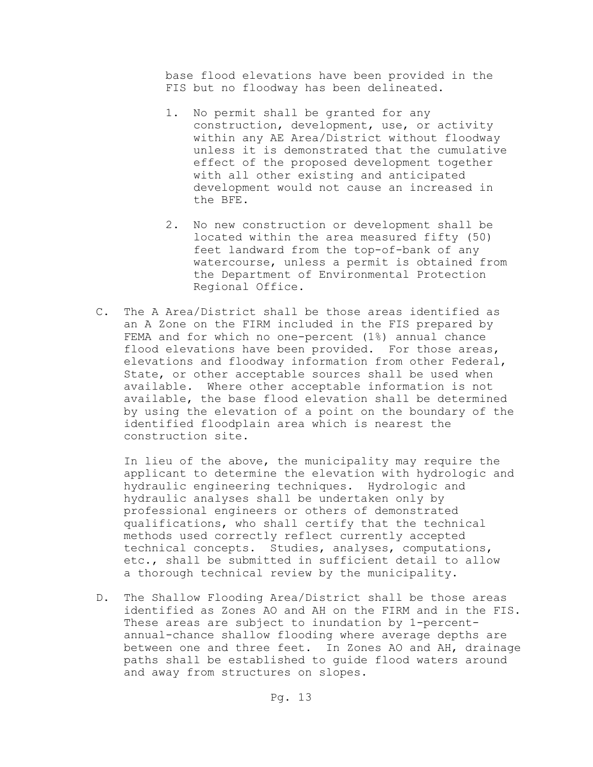base flood elevations have been provided in the FIS but no floodway has been delineated.

- 1. No permit shall be granted for any construction, development, use, or activity within any AE Area/District without floodway unless it is demonstrated that the cumulative effect of the proposed development together with all other existing and anticipated development would not cause an increased in the BFE.
- 2. No new construction or development shall be located within the area measured fifty (50) feet landward from the top-of-bank of any watercourse, unless a permit is obtained from the Department of Environmental Protection Regional Office.
- C. The A Area/District shall be those areas identified as an A Zone on the FIRM included in the FIS prepared by FEMA and for which no one-percent (1%) annual chance flood elevations have been provided. For those areas, elevations and floodway information from other Federal, State, or other acceptable sources shall be used when available. Where other acceptable information is not available, the base flood elevation shall be determined by using the elevation of a point on the boundary of the identified floodplain area which is nearest the construction site.

 In lieu of the above, the municipality may require the applicant to determine the elevation with hydrologic and hydraulic engineering techniques. Hydrologic and hydraulic analyses shall be undertaken only by professional engineers or others of demonstrated qualifications, who shall certify that the technical methods used correctly reflect currently accepted technical concepts. Studies, analyses, computations, etc., shall be submitted in sufficient detail to allow a thorough technical review by the municipality.

D. The Shallow Flooding Area/District shall be those areas identified as Zones AO and AH on the FIRM and in the FIS. These areas are subject to inundation by 1-percent annual-chance shallow flooding where average depths are between one and three feet. In Zones AO and AH, drainage paths shall be established to guide flood waters around and away from structures on slopes.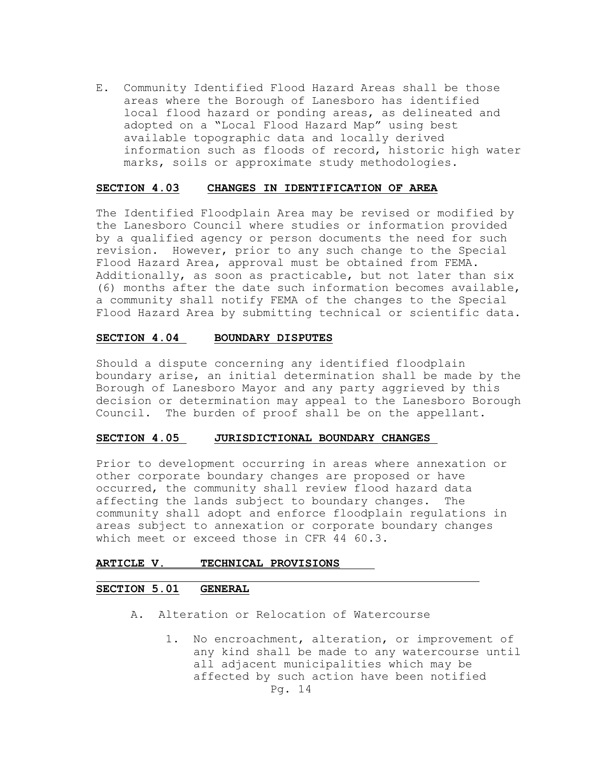E. Community Identified Flood Hazard Areas shall be those areas where the Borough of Lanesboro has identified local flood hazard or ponding areas, as delineated and adopted on a "Local Flood Hazard Map" using best available topographic data and locally derived information such as floods of record, historic high water marks, soils or approximate study methodologies.

#### **SECTION 4.03 CHANGES IN IDENTIFICATION OF AREA**

The Identified Floodplain Area may be revised or modified by the Lanesboro Council where studies or information provided by a qualified agency or person documents the need for such revision. However, prior to any such change to the Special Flood Hazard Area, approval must be obtained from FEMA. Additionally, as soon as practicable, but not later than six (6) months after the date such information becomes available, a community shall notify FEMA of the changes to the Special Flood Hazard Area by submitting technical or scientific data.

### **SECTION 4.04 BOUNDARY DISPUTES**

Should a dispute concerning any identified floodplain boundary arise, an initial determination shall be made by the Borough of Lanesboro Mayor and any party aggrieved by this decision or determination may appeal to the Lanesboro Borough Council. The burden of proof shall be on the appellant.

#### **SECTION 4.05 JURISDICTIONAL BOUNDARY CHANGES**

Prior to development occurring in areas where annexation or other corporate boundary changes are proposed or have occurred, the community shall review flood hazard data affecting the lands subject to boundary changes. The community shall adopt and enforce floodplain regulations in areas subject to annexation or corporate boundary changes which meet or exceed those in CFR 44 60.3.

### **ARTICLE V. TECHNICAL PROVISIONS**

### **SECTION 5.01 GENERAL**

- A. Alteration or Relocation of Watercourse
	- 1. No encroachment, alteration, or improvement of any kind shall be made to any watercourse until all adjacent municipalities which may be affected by such action have been notified Pg. 14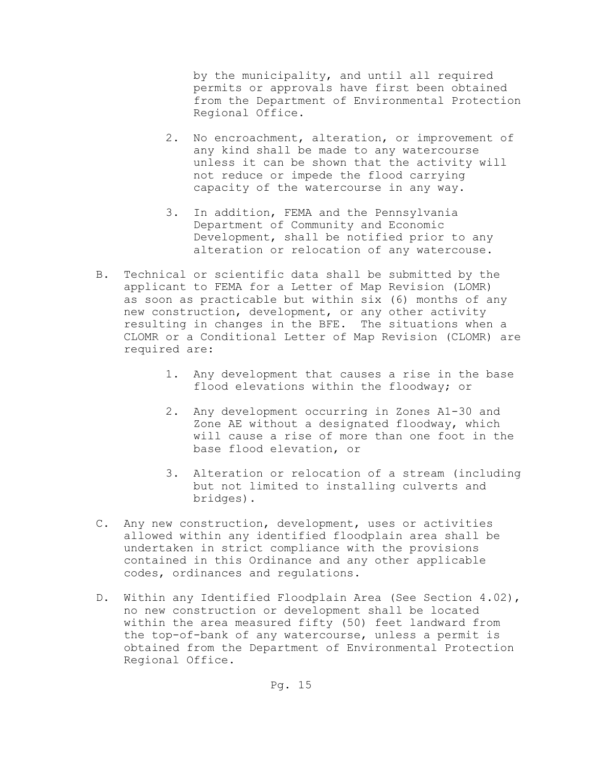by the municipality, and until all required permits or approvals have first been obtained from the Department of Environmental Protection Regional Office.

- 2. No encroachment, alteration, or improvement of any kind shall be made to any watercourse unless it can be shown that the activity will not reduce or impede the flood carrying capacity of the watercourse in any way.
- 3. In addition, FEMA and the Pennsylvania Department of Community and Economic Development, shall be notified prior to any alteration or relocation of any watercouse.
- B. Technical or scientific data shall be submitted by the applicant to FEMA for a Letter of Map Revision (LOMR) as soon as practicable but within six (6) months of any new construction, development, or any other activity resulting in changes in the BFE. The situations when a CLOMR or a Conditional Letter of Map Revision (CLOMR) are required are:
	- 1. Any development that causes a rise in the base flood elevations within the floodway; or
	- 2. Any development occurring in Zones A1-30 and Zone AE without a designated floodway, which will cause a rise of more than one foot in the base flood elevation, or
	- 3. Alteration or relocation of a stream (including but not limited to installing culverts and bridges).
- C. Any new construction, development, uses or activities allowed within any identified floodplain area shall be undertaken in strict compliance with the provisions contained in this Ordinance and any other applicable codes, ordinances and regulations.
- D. Within any Identified Floodplain Area (See Section 4.02), no new construction or development shall be located within the area measured fifty (50) feet landward from the top-of-bank of any watercourse, unless a permit is obtained from the Department of Environmental Protection Regional Office.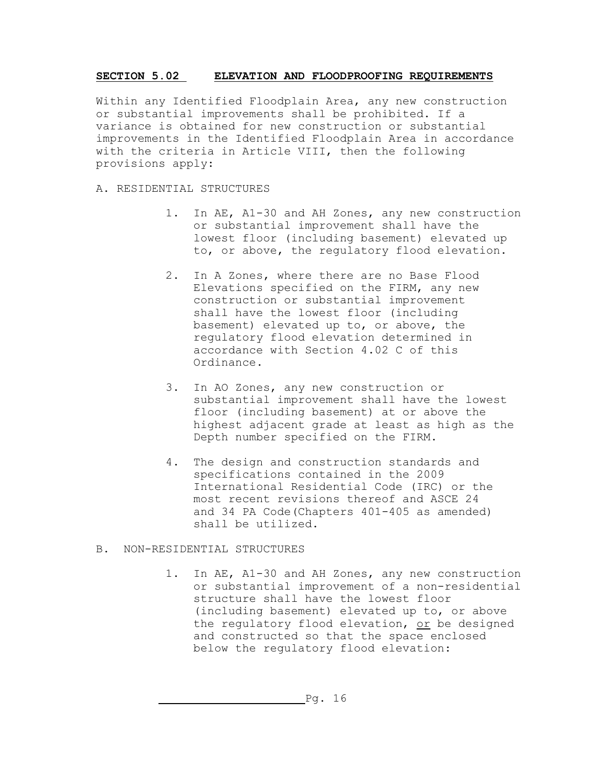## **SECTION 5.02 ELEVATION AND FLOODPROOFING REQUIREMENTS**

Within any Identified Floodplain Area, any new construction or substantial improvements shall be prohibited. If a variance is obtained for new construction or substantial improvements in the Identified Floodplain Area in accordance with the criteria in Article VIII, then the following provisions apply:

## A. RESIDENTIAL STRUCTURES

- 1. In AE, A1-30 and AH Zones, any new construction or substantial improvement shall have the lowest floor (including basement) elevated up to, or above, the regulatory flood elevation.
- 2. In A Zones, where there are no Base Flood Elevations specified on the FIRM, any new construction or substantial improvement shall have the lowest floor (including basement) elevated up to, or above, the regulatory flood elevation determined in accordance with Section 4.02 C of this Ordinance.
- 3. In AO Zones, any new construction or substantial improvement shall have the lowest floor (including basement) at or above the highest adjacent grade at least as high as the Depth number specified on the FIRM.
- 4. The design and construction standards and specifications contained in the 2009 International Residential Code (IRC) or the most recent revisions thereof and ASCE 24 and 34 PA Code(Chapters 401-405 as amended) shall be utilized.

## B. NON-RESIDENTIAL STRUCTURES

1. In AE, A1-30 and AH Zones, any new construction or substantial improvement of a non-residential structure shall have the lowest floor (including basement) elevated up to, or above the regulatory flood elevation, or be designed and constructed so that the space enclosed below the regulatory flood elevation: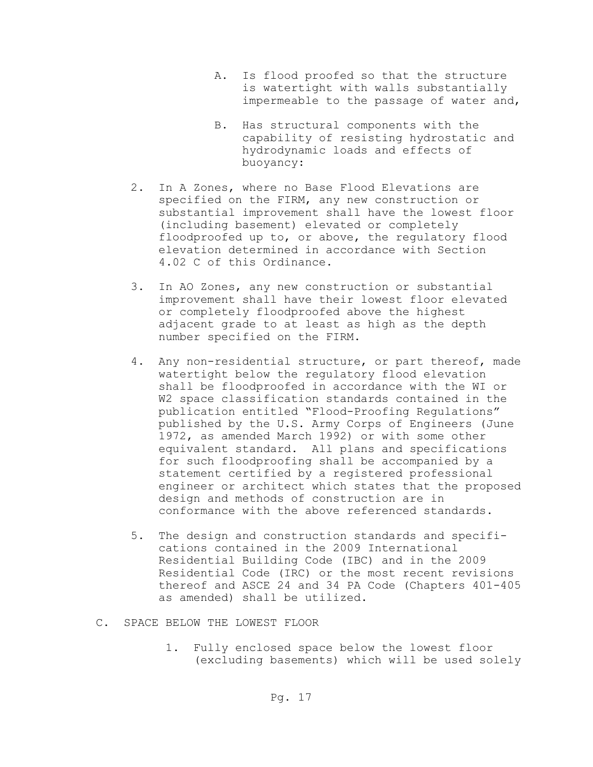- A. Is flood proofed so that the structure is watertight with walls substantially impermeable to the passage of water and,
- B. Has structural components with the capability of resisting hydrostatic and hydrodynamic loads and effects of buoyancy:
- 2. In A Zones, where no Base Flood Elevations are specified on the FIRM, any new construction or substantial improvement shall have the lowest floor (including basement) elevated or completely floodproofed up to, or above, the regulatory flood elevation determined in accordance with Section 4.02 C of this Ordinance.
- 3. In AO Zones, any new construction or substantial improvement shall have their lowest floor elevated or completely floodproofed above the highest adjacent grade to at least as high as the depth number specified on the FIRM.
- 4. Any non-residential structure, or part thereof, made watertight below the regulatory flood elevation shall be floodproofed in accordance with the WI or W2 space classification standards contained in the publication entitled "Flood-Proofing Regulations" published by the U.S. Army Corps of Engineers (June 1972, as amended March 1992) or with some other equivalent standard. All plans and specifications for such floodproofing shall be accompanied by a statement certified by a registered professional engineer or architect which states that the proposed design and methods of construction are in conformance with the above referenced standards.
- 5. The design and construction standards and specifi cations contained in the 2009 International Residential Building Code (IBC) and in the 2009 Residential Code (IRC) or the most recent revisions thereof and ASCE 24 and 34 PA Code (Chapters 401-405 as amended) shall be utilized.
- C. SPACE BELOW THE LOWEST FLOOR
	- 1. Fully enclosed space below the lowest floor (excluding basements) which will be used solely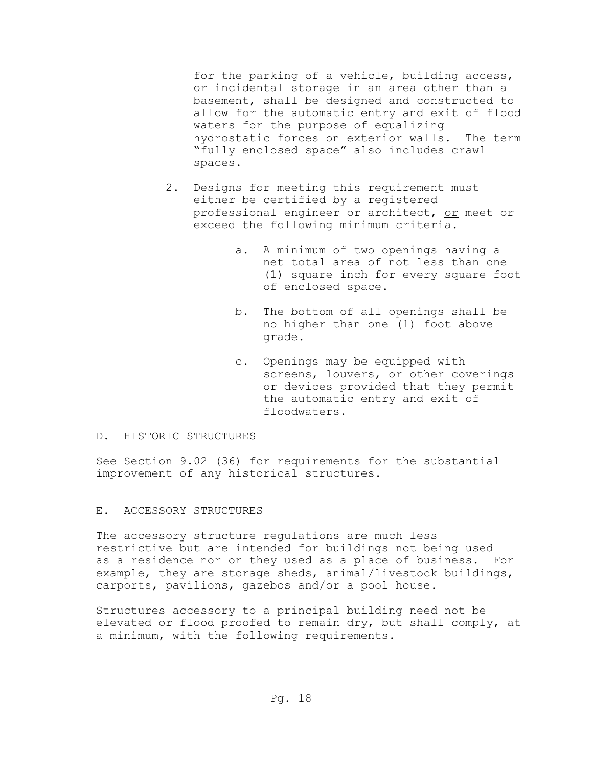for the parking of a vehicle, building access, or incidental storage in an area other than a basement, shall be designed and constructed to allow for the automatic entry and exit of flood waters for the purpose of equalizing hydrostatic forces on exterior walls. The term "fully enclosed space" also includes crawl spaces.

- 2. Designs for meeting this requirement must either be certified by a registered professional engineer or architect, or meet or exceed the following minimum criteria.
	- a. A minimum of two openings having a net total area of not less than one (1) square inch for every square foot of enclosed space.
	- b. The bottom of all openings shall be no higher than one (1) foot above grade.
	- c. Openings may be equipped with screens, louvers, or other coverings or devices provided that they permit the automatic entry and exit of floodwaters.

### D. HISTORIC STRUCTURES

See Section 9.02 (36) for requirements for the substantial improvement of any historical structures.

### E. ACCESSORY STRUCTURES

The accessory structure regulations are much less restrictive but are intended for buildings not being used as a residence nor or they used as a place of business. For example, they are storage sheds, animal/livestock buildings, carports, pavilions, gazebos and/or a pool house.

Structures accessory to a principal building need not be elevated or flood proofed to remain dry, but shall comply, at a minimum, with the following requirements**.**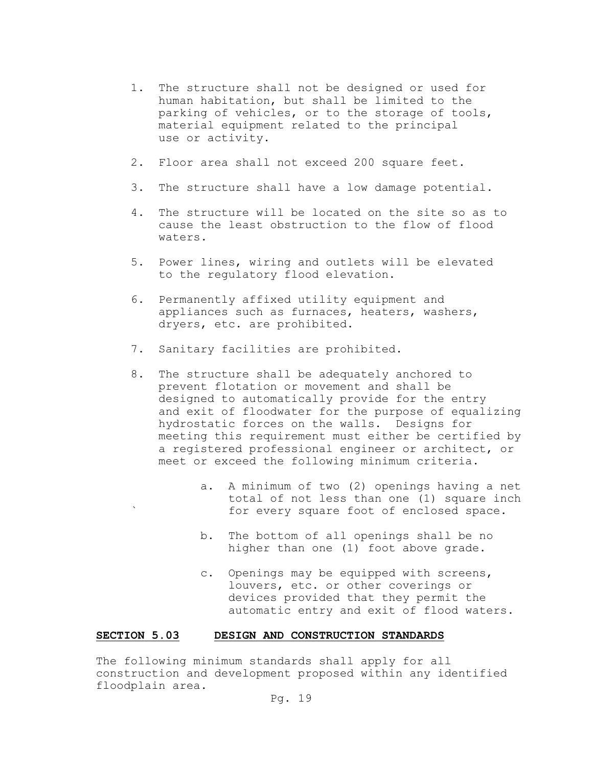- 1. The structure shall not be designed or used for human habitation, but shall be limited to the parking of vehicles, or to the storage of tools, material equipment related to the principal use or activity.
- 2. Floor area shall not exceed 200 square feet.
- 3. The structure shall have a low damage potential.
- 4. The structure will be located on the site so as to cause the least obstruction to the flow of flood waters.
- 5. Power lines, wiring and outlets will be elevated to the regulatory flood elevation.
- 6. Permanently affixed utility equipment and appliances such as furnaces, heaters, washers, dryers, etc. are prohibited.
- 7. Sanitary facilities are prohibited.
- 8. The structure shall be adequately anchored to prevent flotation or movement and shall be designed to automatically provide for the entry and exit of floodwater for the purpose of equalizing hydrostatic forces on the walls. Designs for meeting this requirement must either be certified by a registered professional engineer or architect, or meet or exceed the following minimum criteria.
	- a. A minimum of two (2) openings having a net total of not less than one (1) square inch for every square foot of enclosed space.
	- b. The bottom of all openings shall be no higher than one (1) foot above grade.
	- c. Openings may be equipped with screens, louvers, etc. or other coverings or devices provided that they permit the automatic entry and exit of flood waters.

#### **SECTION 5.03 DESIGN AND CONSTRUCTION STANDARDS**

The following minimum standards shall apply for all construction and development proposed within any identified floodplain area.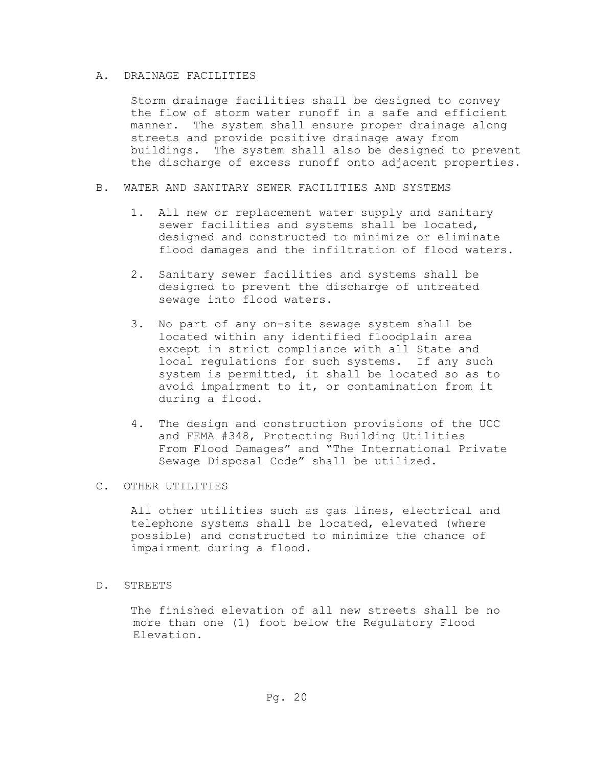### A. DRAINAGE FACILITIES

Storm drainage facilities shall be designed to convey the flow of storm water runoff in a safe and efficient manner. The system shall ensure proper drainage along streets and provide positive drainage away from buildings. The system shall also be designed to prevent the discharge of excess runoff onto adjacent properties.

- B. WATER AND SANITARY SEWER FACILITIES AND SYSTEMS
	- 1. All new or replacement water supply and sanitary sewer facilities and systems shall be located, designed and constructed to minimize or eliminate flood damages and the infiltration of flood waters.
	- 2. Sanitary sewer facilities and systems shall be designed to prevent the discharge of untreated sewage into flood waters.
	- 3. No part of any on-site sewage system shall be located within any identified floodplain area except in strict compliance with all State and local regulations for such systems. If any such system is permitted, it shall be located so as to avoid impairment to it, or contamination from it during a flood.
	- 4. The design and construction provisions of the UCC and FEMA #348, Protecting Building Utilities From Flood Damages" and "The International Private Sewage Disposal Code" shall be utilized.

## C. OTHER UTILITIES

All other utilities such as gas lines, electrical and telephone systems shall be located, elevated (where possible) and constructed to minimize the chance of impairment during a flood.

## D. STREETS

The finished elevation of all new streets shall be no more than one (1) foot below the Regulatory Flood Elevation.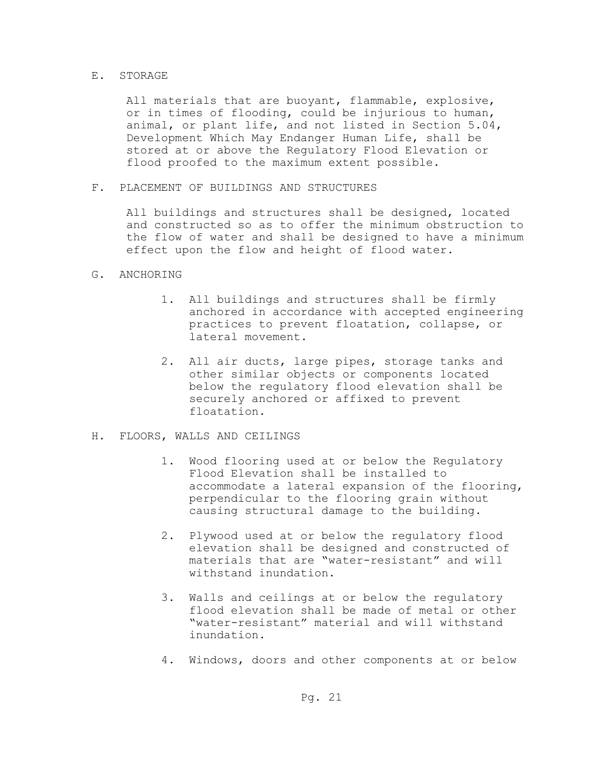#### E. STORAGE

All materials that are buoyant, flammable, explosive, or in times of flooding, could be injurious to human, animal, or plant life, and not listed in Section 5.04, Development Which May Endanger Human Life, shall be stored at or above the Regulatory Flood Elevation or flood proofed to the maximum extent possible.

F. PLACEMENT OF BUILDINGS AND STRUCTURES

All buildings and structures shall be designed, located and constructed so as to offer the minimum obstruction to the flow of water and shall be designed to have a minimum effect upon the flow and height of flood water.

### G. ANCHORING

- 1. All buildings and structures shall be firmly anchored in accordance with accepted engineering practices to prevent floatation, collapse, or lateral movement.
- 2. All air ducts, large pipes, storage tanks and other similar objects or components located below the regulatory flood elevation shall be securely anchored or affixed to prevent floatation.
- H. FLOORS, WALLS AND CEILINGS
	- 1. Wood flooring used at or below the Regulatory Flood Elevation shall be installed to accommodate a lateral expansion of the flooring, perpendicular to the flooring grain without causing structural damage to the building.
	- 2. Plywood used at or below the regulatory flood elevation shall be designed and constructed of materials that are "water-resistant" and will withstand inundation.
	- 3. Walls and ceilings at or below the regulatory flood elevation shall be made of metal or other "water-resistant" material and will withstand inundation.
	- 4. Windows, doors and other components at or below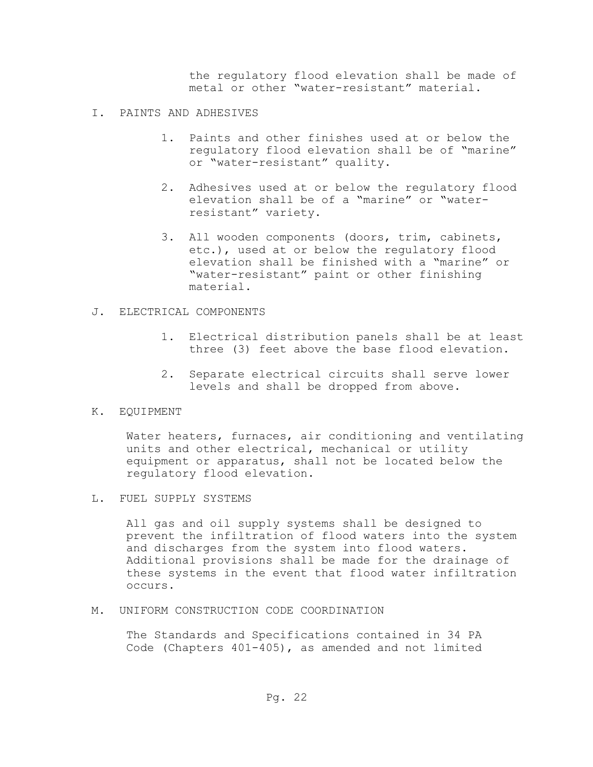the regulatory flood elevation shall be made of metal or other "water-resistant" material.

- I. PAINTS AND ADHESIVES
	- 1. Paints and other finishes used at or below the regulatory flood elevation shall be of "marine" or "water-resistant" quality.
	- 2. Adhesives used at or below the regulatory flood elevation shall be of a "marine" or "water resistant" variety.
	- 3. All wooden components (doors, trim, cabinets, etc.), used at or below the regulatory flood elevation shall be finished with a "marine" or "water-resistant" paint or other finishing material.
- J. ELECTRICAL COMPONENTS
	- 1. Electrical distribution panels shall be at least three (3) feet above the base flood elevation.
	- 2. Separate electrical circuits shall serve lower levels and shall be dropped from above.
- K. EQUIPMENT

Water heaters, furnaces, air conditioning and ventilating units and other electrical, mechanical or utility equipment or apparatus, shall not be located below the regulatory flood elevation.

L. FUEL SUPPLY SYSTEMS

All gas and oil supply systems shall be designed to prevent the infiltration of flood waters into the system and discharges from the system into flood waters. Additional provisions shall be made for the drainage of these systems in the event that flood water infiltration occurs.

M. UNIFORM CONSTRUCTION CODE COORDINATION

The Standards and Specifications contained in 34 PA Code (Chapters 401-405), as amended and not limited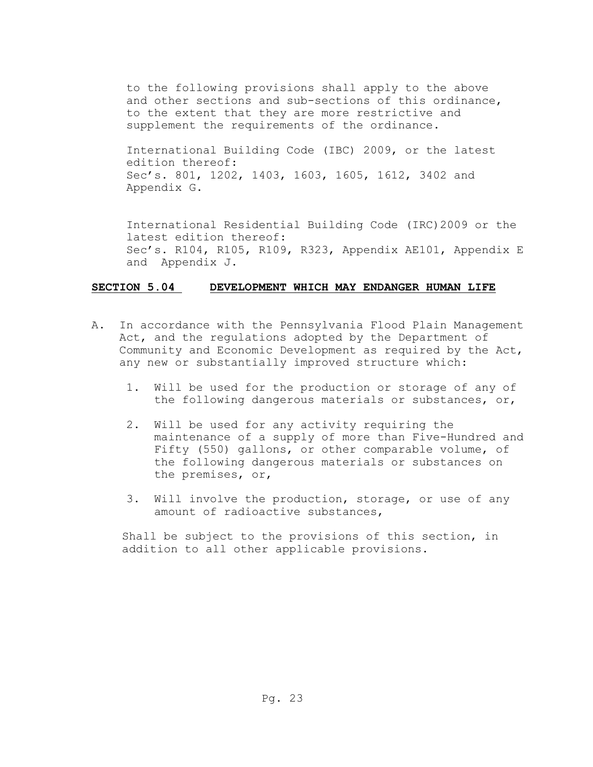to the following provisions shall apply to the above and other sections and sub-sections of this ordinance, to the extent that they are more restrictive and supplement the requirements of the ordinance.

International Building Code (IBC) 2009, or the latest edition thereof: Sec's. 801, 1202, 1403, 1603, 1605, 1612, 3402 and Appendix G.

International Residential Building Code (IRC)2009 or the latest edition thereof: Sec's. R104, R105, R109, R323, Appendix AE101, Appendix E and Appendix J.

## **SECTION 5.04 DEVELOPMENT WHICH MAY ENDANGER HUMAN LIFE**

- A. In accordance with the Pennsylvania Flood Plain Management Act, and the regulations adopted by the Department of Community and Economic Development as required by the Act, any new or substantially improved structure which:
	- 1. Will be used for the production or storage of any of the following dangerous materials or substances, or,
	- 2. Will be used for any activity requiring the maintenance of a supply of more than Five-Hundred and Fifty (550) gallons, or other comparable volume, of the following dangerous materials or substances on the premises, or,
	- 3. Will involve the production, storage, or use of any amount of radioactive substances,

Shall be subject to the provisions of this section, in addition to all other applicable provisions.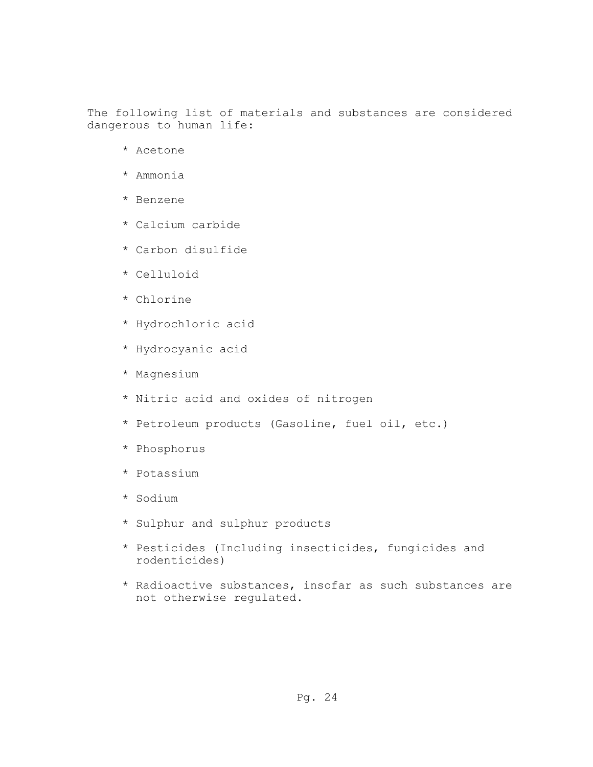The following list of materials and substances are considered dangerous to human life:

- \* Acetone
- \* Ammonia
- \* Benzene
- \* Calcium carbide
- \* Carbon disulfide
- \* Celluloid
- \* Chlorine
- \* Hydrochloric acid
- \* Hydrocyanic acid
- \* Magnesium
- \* Nitric acid and oxides of nitrogen
- \* Petroleum products (Gasoline, fuel oil, etc.)
- \* Phosphorus
- \* Potassium
- \* Sodium
- \* Sulphur and sulphur products
- \* Pesticides (Including insecticides, fungicides and rodenticides)
- \* Radioactive substances, insofar as such substances are not otherwise regulated.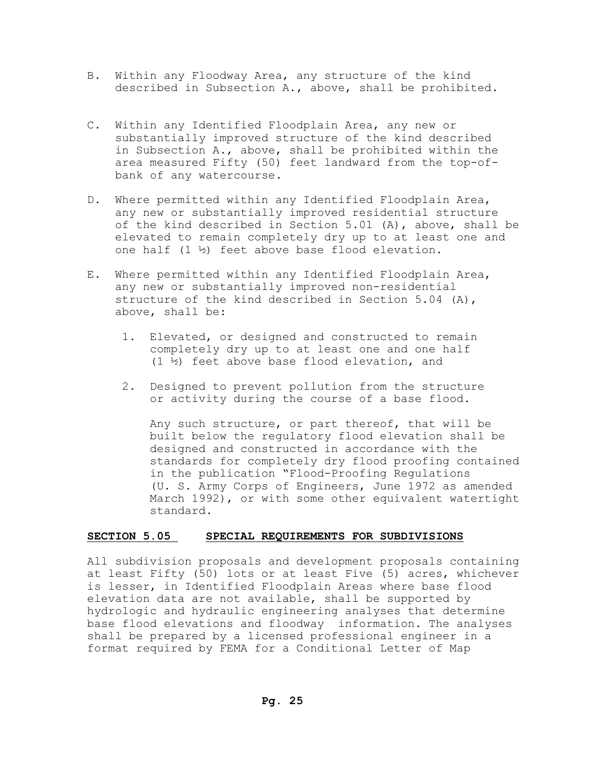- B. Within any Floodway Area, any structure of the kind described in Subsection A., above, shall be prohibited.
- C. Within any Identified Floodplain Area, any new or substantially improved structure of the kind described in Subsection A., above, shall be prohibited within the area measured Fifty (50) feet landward from the top-of bank of any watercourse.
- D. Where permitted within any Identified Floodplain Area, any new or substantially improved residential structure of the kind described in Section 5.01 (A), above, shall be elevated to remain completely dry up to at least one and one half (1 ½) feet above base flood elevation.
- E. Where permitted within any Identified Floodplain Area, any new or substantially improved non-residential structure of the kind described in Section 5.04 (A), above, shall be:
	- 1. Elevated, or designed and constructed to remain completely dry up to at least one and one half (1 ½) feet above base flood elevation, and
	- 2. Designed to prevent pollution from the structure or activity during the course of a base flood.

 Any such structure, or part thereof, that will be built below the regulatory flood elevation shall be designed and constructed in accordance with the standards for completely dry flood proofing contained in the publication "Flood-Proofing Regulations (U. S. Army Corps of Engineers, June 1972 as amended March 1992), or with some other equivalent watertight standard.

### **SECTION 5.05 SPECIAL REQUIREMENTS FOR SUBDIVISIONS**

All subdivision proposals and development proposals containing at least Fifty (50) lots or at least Five (5) acres, whichever is lesser, in Identified Floodplain Areas where base flood elevation data are not available, shall be supported by hydrologic and hydraulic engineering analyses that determine base flood elevations and floodway information. The analyses shall be prepared by a licensed professional engineer in a format required by FEMA for a Conditional Letter of Map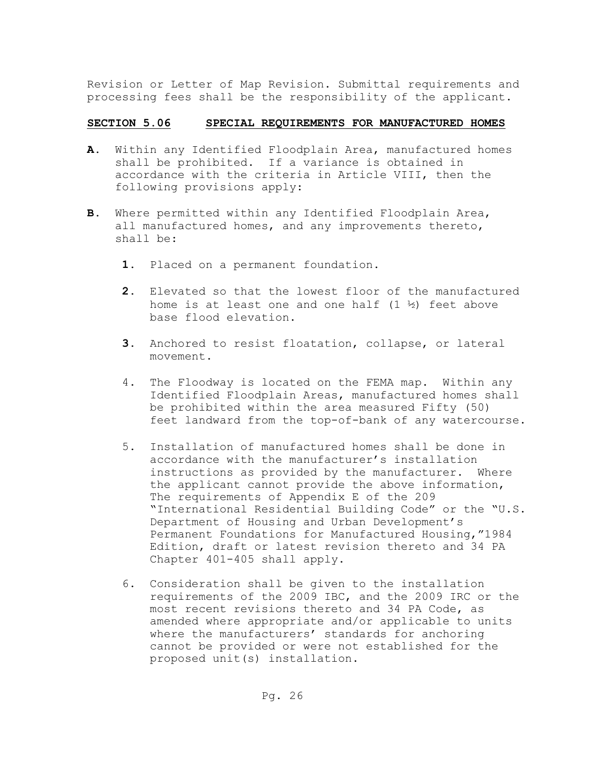Revision or Letter of Map Revision. Submittal requirements and processing fees shall be the responsibility of the applicant.

## **SECTION 5.06 SPECIAL REQUIREMENTS FOR MANUFACTURED HOMES**

- **A.** Within any Identified Floodplain Area, manufactured homes shall be prohibited. If a variance is obtained in accordance with the criteria in Article VIII, then the following provisions apply:
- **B.** Where permitted within any Identified Floodplain Area, all manufactured homes, and any improvements thereto, shall be:
	- **1.** Placed on a permanent foundation**.**
	- **2.** Elevated so that the lowest floor of the manufactured home is at least one and one half  $(1 \frac{1}{2})$  feet above base flood elevation.
	- **3.** Anchored to resist floatation, collapse, or lateral movement.
	- 4.The Floodway is located on the FEMA map. Within any Identified Floodplain Areas, manufactured homes shall be prohibited within the area measured Fifty (50) feet landward from the top-of-bank of any watercourse.
	- 5**.** Installation of manufactured homes shall be done in accordance with the manufacturer's installation instructions as provided by the manufacturer. Where the applicant cannot provide the above information, The requirements of Appendix E of the 209 "International Residential Building Code" or the "U.S. Department of Housing and Urban Development's Permanent Foundations for Manufactured Housing,"1984 Edition, draft or latest revision thereto and 34 PA Chapter 401-405 shall apply.
	- 6. Consideration shall be given to the installation requirements of the 2009 IBC, and the 2009 IRC or the most recent revisions thereto and 34 PA Code, as amended where appropriate and/or applicable to units where the manufacturers' standards for anchoring cannot be provided or were not established for the proposed unit(s) installation.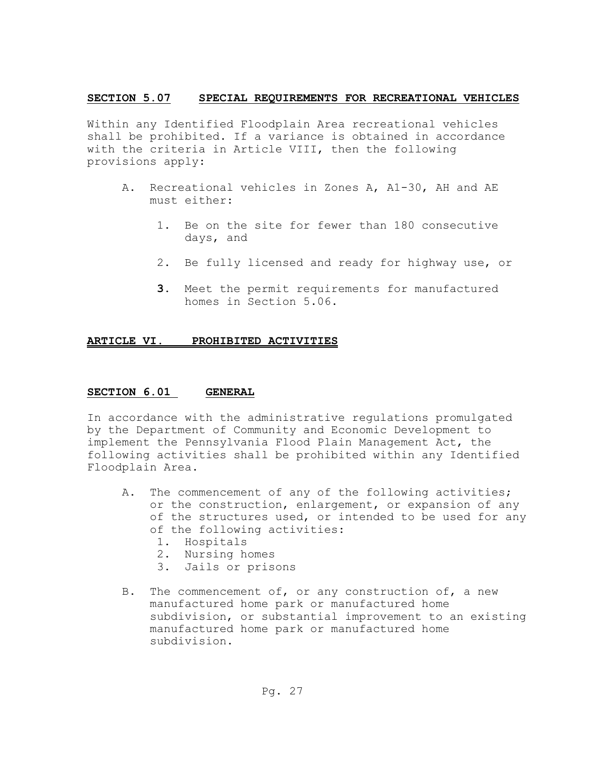### **SECTION 5.07 SPECIAL REQUIREMENTS FOR RECREATIONAL VEHICLES**

Within any Identified Floodplain Area recreational vehicles shall be prohibited. If a variance is obtained in accordance with the criteria in Article VIII, then the following provisions apply:

- A.Recreational vehicles in Zones A, A1-30, AH and AE must either:
	- 1. Be on the site for fewer than 180 consecutive days, and
	- 2. Be fully licensed and ready for highway use, or
	- **3.** Meet the permit requirements for manufactured homes in Section 5.06.

## **ARTICLE VI. PROHIBITED ACTIVITIES**

## **SECTION 6.01 GENERAL**

In accordance with the administrative regulations promulgated by the Department of Community and Economic Development to implement the Pennsylvania Flood Plain Management Act, the following activities shall be prohibited within any Identified Floodplain Area.

- A. The commencement of any of the following activities; or the construction, enlargement, or expansion of any of the structures used, or intended to be used for any of the following activities:
	- 1. Hospitals
	- 2. Nursing homes
	- 3. Jails or prisons
- B. The commencement of, or any construction of, a new manufactured home park or manufactured home subdivision, or substantial improvement to an existing manufactured home park or manufactured home subdivision.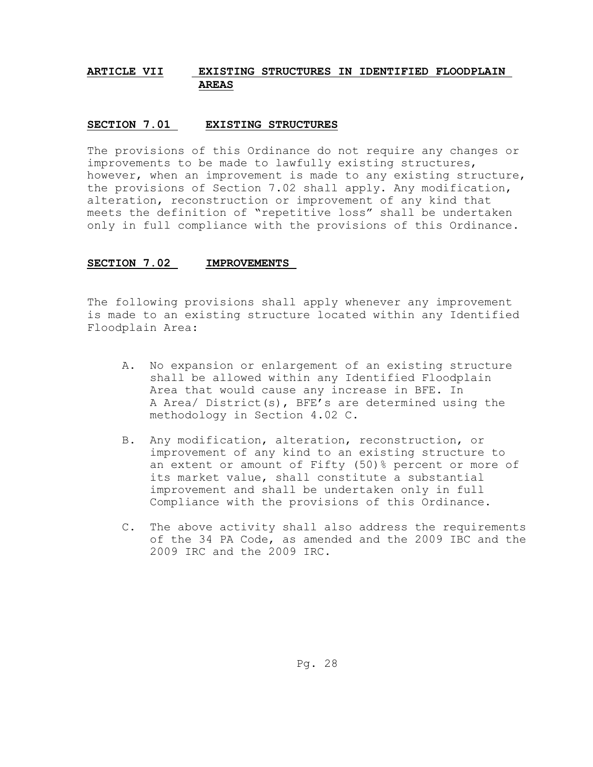## **ARTICLE VII EXISTING STRUCTURES IN IDENTIFIED FLOODPLAIN AREAS**

### **SECTION 7.01 EXISTING STRUCTURES**

The provisions of this Ordinance do not require any changes or improvements to be made to lawfully existing structures, however, when an improvement is made to any existing structure, the provisions of Section 7.02 shall apply. Any modification, alteration, reconstruction or improvement of any kind that meets the definition of "repetitive loss" shall be undertaken only in full compliance with the provisions of this Ordinance.

#### **SECTION 7.02 IMPROVEMENTS**

The following provisions shall apply whenever any improvement is made to an existing structure located within any Identified Floodplain Area:

- A. No expansion or enlargement of an existing structure shall be allowed within any Identified Floodplain Area that would cause any increase in BFE. In A Area/ District(s), BFE's are determined using the methodology in Section 4.02 C.
- B. Any modification, alteration, reconstruction, or improvement of any kind to an existing structure to an extent or amount of Fifty (50)% percent or more of its market value, shall constitute a substantial improvement and shall be undertaken only in full Compliance with the provisions of this Ordinance.
- C. The above activity shall also address the requirements of the 34 PA Code, as amended and the 2009 IBC and the 2009 IRC and the 2009 IRC.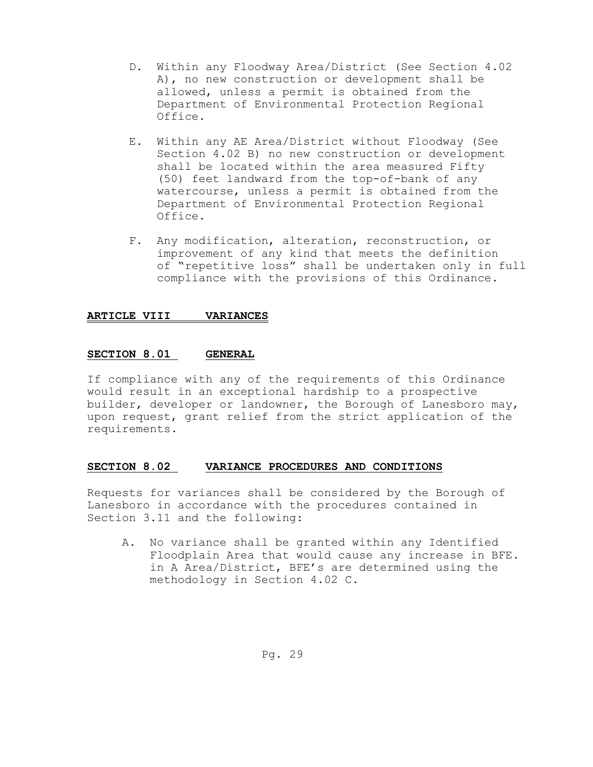- D. Within any Floodway Area/District (See Section 4.02 A), no new construction or development shall be allowed, unless a permit is obtained from the Department of Environmental Protection Regional Office.
- E. Within any AE Area/District without Floodway (See Section 4.02 B) no new construction or development shall be located within the area measured Fifty (50) feet landward from the top-of-bank of any watercourse, unless a permit is obtained from the Department of Environmental Protection Regional Office.
- F. Any modification, alteration, reconstruction, or improvement of any kind that meets the definition of "repetitive loss" shall be undertaken only in full compliance with the provisions of this Ordinance.

### **ARTICLE VIII VARIANCES**

### **SECTION 8.01 GENERAL**

If compliance with any of the requirements of this Ordinance would result in an exceptional hardship to a prospective builder, developer or landowner, the Borough of Lanesboro may, upon request, grant relief from the strict application of the requirements.

### **SECTION 8.02 VARIANCE PROCEDURES AND CONDITIONS**

Requests for variances shall be considered by the Borough of Lanesboro in accordance with the procedures contained in Section 3.11 and the following:

A. No variance shall be granted within any Identified Floodplain Area that would cause any increase in BFE. in A Area/District, BFE's are determined using the methodology in Section 4.02 C.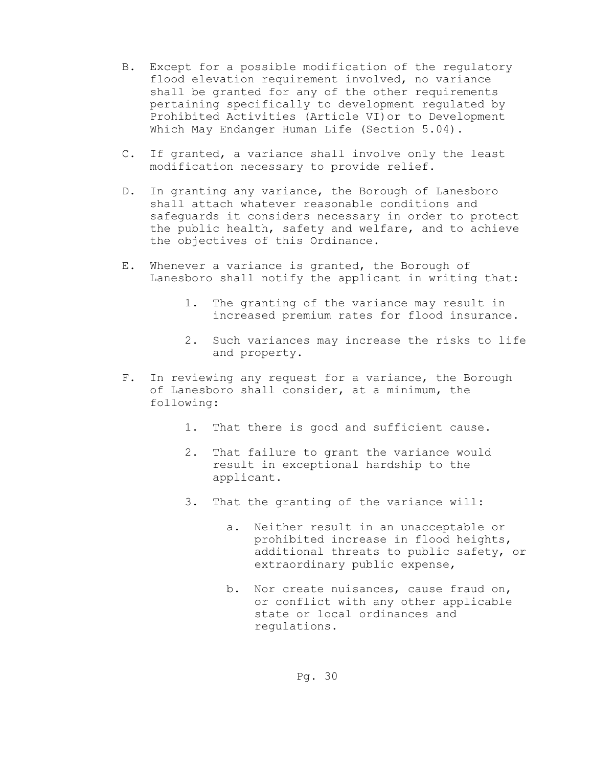- B. Except for a possible modification of the regulatory flood elevation requirement involved, no variance shall be granted for any of the other requirements pertaining specifically to development regulated by Prohibited Activities (Article VI)or to Development Which May Endanger Human Life (Section 5.04).
- C. If granted, a variance shall involve only the least modification necessary to provide relief.
- D. In granting any variance, the Borough of Lanesboro shall attach whatever reasonable conditions and safeguards it considers necessary in order to protect the public health, safety and welfare, and to achieve the objectives of this Ordinance.
- E. Whenever a variance is granted, the Borough of Lanesboro shall notify the applicant in writing that:
	- 1. The granting of the variance may result in increased premium rates for flood insurance.
	- 2. Such variances may increase the risks to life and property.
- F. In reviewing any request for a variance, the Borough of Lanesboro shall consider, at a minimum, the following:
	- 1. That there is good and sufficient cause.
	- 2. That failure to grant the variance would result in exceptional hardship to the applicant.
	- 3. That the granting of the variance will:
		- a. Neither result in an unacceptable or prohibited increase in flood heights, additional threats to public safety, or extraordinary public expense,
		- b. Nor create nuisances, cause fraud on, or conflict with any other applicable state or local ordinances and regulations.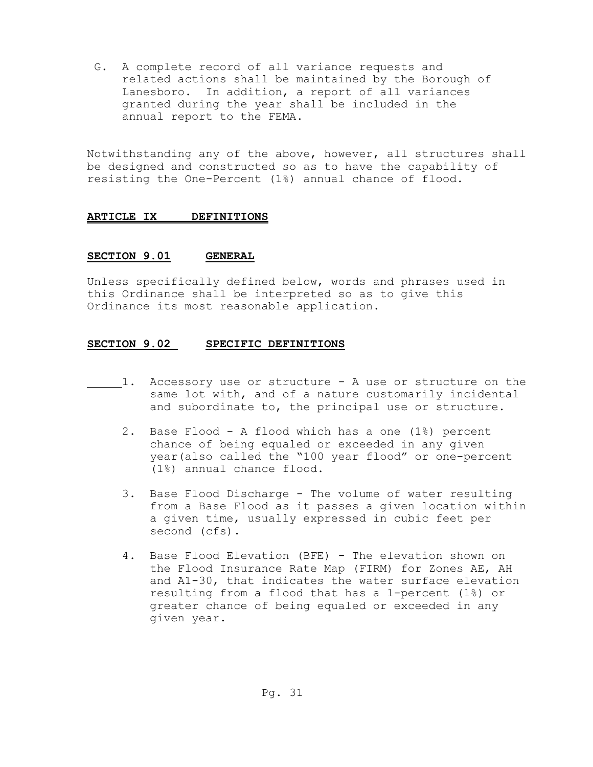G. A complete record of all variance requests and related actions shall be maintained by the Borough of Lanesboro. In addition, a report of all variances granted during the year shall be included in the annual report to the FEMA.

Notwithstanding any of the above, however, all structures shall be designed and constructed so as to have the capability of resisting the One-Percent (1%) annual chance of flood.

## **ARTICLE IX DEFINITIONS**

### **SECTION 9.01 GENERAL**

Unless specifically defined below, words and phrases used in this Ordinance shall be interpreted so as to give this Ordinance its most reasonable application.

### **SECTION 9.02 SPECIFIC DEFINITIONS**

- 1. Accessory use or structure A use or structure on the same lot with, and of a nature customarily incidental and subordinate to, the principal use or structure.
	- 2. Base Flood A flood which has a one (1%) percent chance of being equaled or exceeded in any given year(also called the "100 year flood" or one-percent (1%) annual chance flood.
	- 3. Base Flood Discharge The volume of water resulting from a Base Flood as it passes a given location within a given time, usually expressed in cubic feet per second (cfs).
	- 4. Base Flood Elevation (BFE) The elevation shown on the Flood Insurance Rate Map (FIRM) for Zones AE, AH and A1-30, that indicates the water surface elevation resulting from a flood that has a 1-percent (1%) or greater chance of being equaled or exceeded in any given year.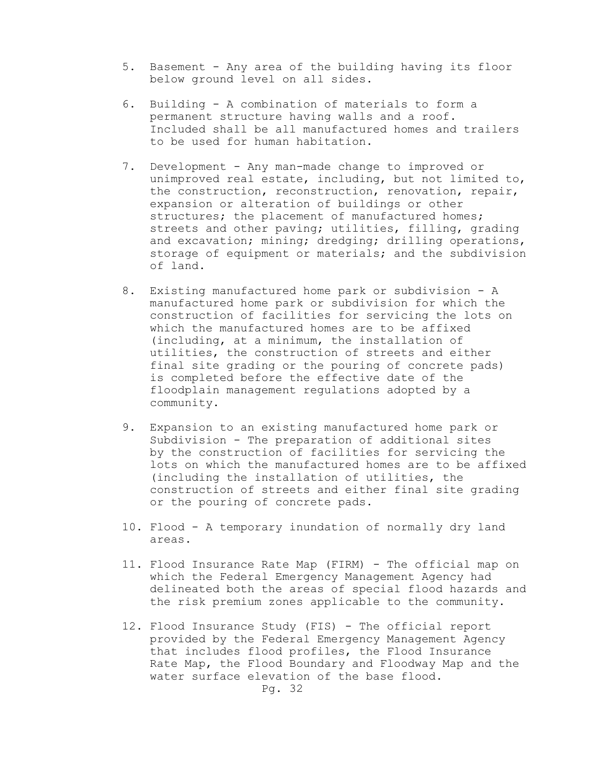- 5. Basement Any area of the building having its floor below ground level on all sides.
- 6. Building A combination of materials to form a permanent structure having walls and a roof. Included shall be all manufactured homes and trailers to be used for human habitation.
- 7. Development Any man-made change to improved or unimproved real estate, including, but not limited to, the construction, reconstruction, renovation, repair, expansion or alteration of buildings or other structures; the placement of manufactured homes; streets and other paving; utilities, filling, grading and excavation; mining; dredging; drilling operations, storage of equipment or materials; and the subdivision of land.
- 8. Existing manufactured home park or subdivision A manufactured home park or subdivision for which the construction of facilities for servicing the lots on which the manufactured homes are to be affixed (including, at a minimum, the installation of utilities, the construction of streets and either final site grading or the pouring of concrete pads) is completed before the effective date of the floodplain management regulations adopted by a community.
- 9. Expansion to an existing manufactured home park or Subdivision - The preparation of additional sites by the construction of facilities for servicing the lots on which the manufactured homes are to be affixed (including the installation of utilities, the construction of streets and either final site grading or the pouring of concrete pads.
- 10. Flood A temporary inundation of normally dry land areas.
- 11. Flood Insurance Rate Map (FIRM) The official map on which the Federal Emergency Management Agency had delineated both the areas of special flood hazards and the risk premium zones applicable to the community.
- 12. Flood Insurance Study (FIS) The official report provided by the Federal Emergency Management Agency that includes flood profiles, the Flood Insurance Rate Map, the Flood Boundary and Floodway Map and the water surface elevation of the base flood.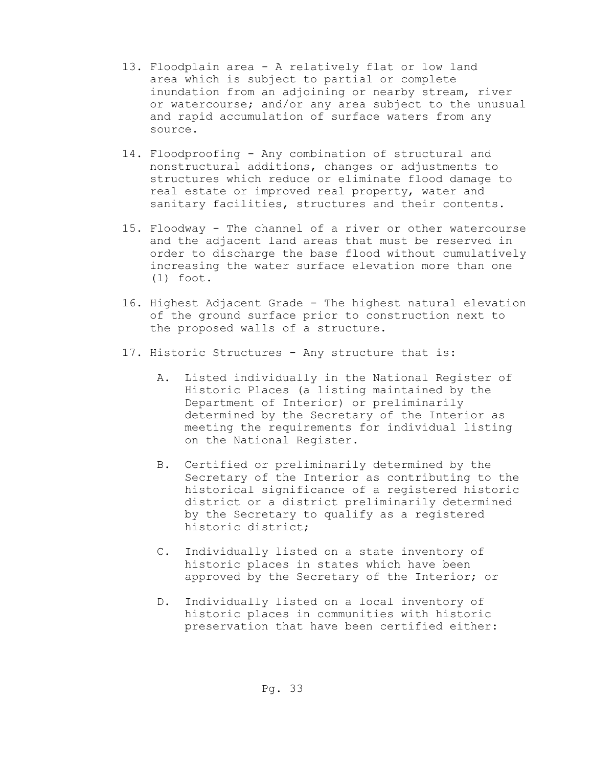- 13. Floodplain area A relatively flat or low land area which is subject to partial or complete inundation from an adjoining or nearby stream, river or watercourse; and/or any area subject to the unusual and rapid accumulation of surface waters from any source.
- 14. Floodproofing Any combination of structural and nonstructural additions, changes or adjustments to structures which reduce or eliminate flood damage to real estate or improved real property, water and sanitary facilities, structures and their contents.
- 15. Floodway The channel of a river or other watercourse and the adjacent land areas that must be reserved in order to discharge the base flood without cumulatively increasing the water surface elevation more than one (1) foot.
- 16. Highest Adjacent Grade The highest natural elevation of the ground surface prior to construction next to the proposed walls of a structure.
- 17. Historic Structures Any structure that is:
	- A. Listed individually in the National Register of Historic Places (a listing maintained by the Department of Interior) or preliminarily determined by the Secretary of the Interior as meeting the requirements for individual listing on the National Register.
	- B. Certified or preliminarily determined by the Secretary of the Interior as contributing to the historical significance of a registered historic district or a district preliminarily determined by the Secretary to qualify as a registered historic district;
	- C. Individually listed on a state inventory of historic places in states which have been approved by the Secretary of the Interior; or
	- D. Individually listed on a local inventory of historic places in communities with historic preservation that have been certified either: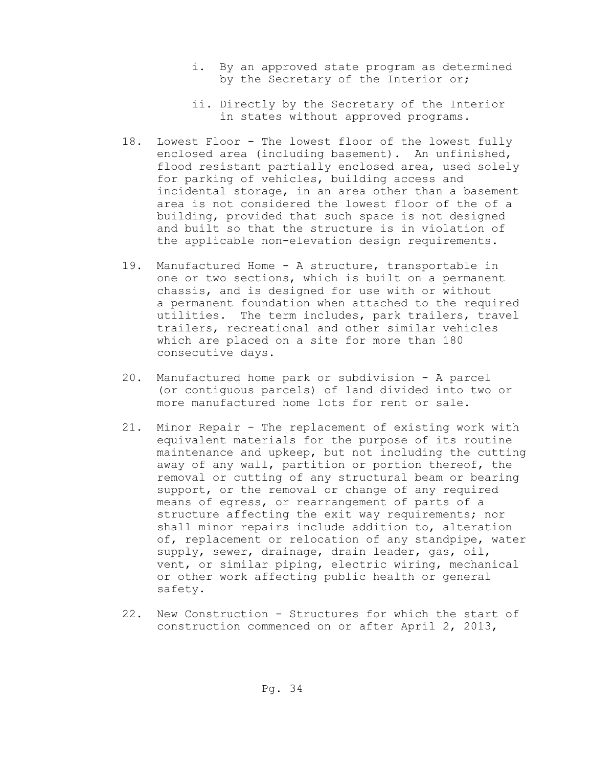- i. By an approved state program as determined by the Secretary of the Interior or;
- ii. Directly by the Secretary of the Interior in states without approved programs.
- 18. Lowest Floor The lowest floor of the lowest fully enclosed area (including basement). An unfinished, flood resistant partially enclosed area, used solely for parking of vehicles, building access and incidental storage, in an area other than a basement area is not considered the lowest floor of the of a building, provided that such space is not designed and built so that the structure is in violation of the applicable non-elevation design requirements.
- 19. Manufactured Home A structure, transportable in one or two sections, which is built on a permanent chassis, and is designed for use with or without a permanent foundation when attached to the required utilities. The term includes, park trailers, travel trailers, recreational and other similar vehicles which are placed on a site for more than 180 consecutive days.
- 20. Manufactured home park or subdivision A parcel (or contiguous parcels) of land divided into two or more manufactured home lots for rent or sale.
- 21. Minor Repair The replacement of existing work with equivalent materials for the purpose of its routine maintenance and upkeep, but not including the cutting away of any wall, partition or portion thereof, the removal or cutting of any structural beam or bearing support, or the removal or change of any required means of egress, or rearrangement of parts of a structure affecting the exit way requirements; nor shall minor repairs include addition to, alteration of, replacement or relocation of any standpipe, water supply, sewer, drainage, drain leader, gas, oil, vent, or similar piping, electric wiring, mechanical or other work affecting public health or general safety.
- 22. New Construction Structures for which the start of construction commenced on or after April 2, 2013,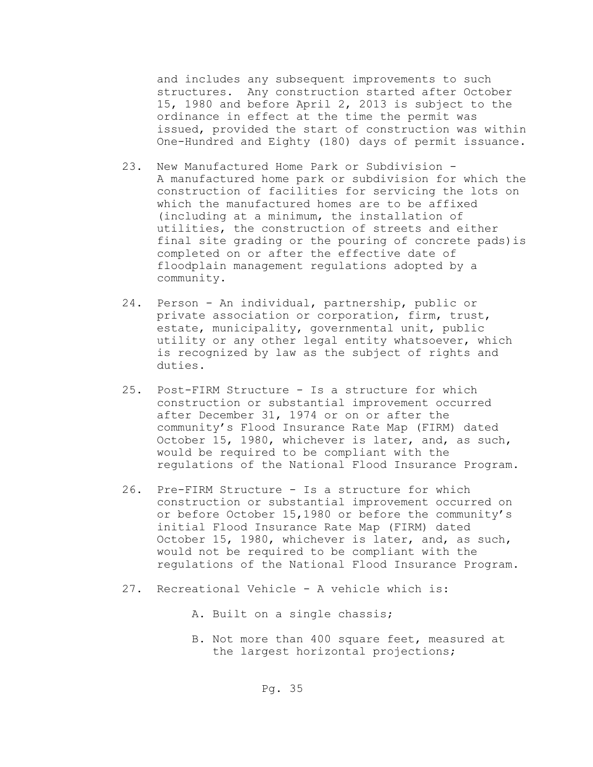and includes any subsequent improvements to such structures. Any construction started after October 15, 1980 and before April 2, 2013 is subject to the ordinance in effect at the time the permit was issued, provided the start of construction was within One-Hundred and Eighty (180) days of permit issuance.

- 23. New Manufactured Home Park or Subdivision A manufactured home park or subdivision for which the construction of facilities for servicing the lots on which the manufactured homes are to be affixed (including at a minimum, the installation of utilities, the construction of streets and either final site grading or the pouring of concrete pads)is completed on or after the effective date of floodplain management regulations adopted by a community.
- 24. Person An individual, partnership, public or private association or corporation, firm, trust, estate, municipality, governmental unit, public utility or any other legal entity whatsoever, which is recognized by law as the subject of rights and duties.
- 25. Post-FIRM Structure Is a structure for which construction or substantial improvement occurred after December 31, 1974 or on or after the community's Flood Insurance Rate Map (FIRM) dated October 15, 1980, whichever is later, and, as such, would be required to be compliant with the regulations of the National Flood Insurance Program.
- 26. Pre-FIRM Structure Is a structure for which construction or substantial improvement occurred on or before October 15,1980 or before the community's initial Flood Insurance Rate Map (FIRM) dated October 15, 1980, whichever is later, and, as such, would not be required to be compliant with the regulations of the National Flood Insurance Program.
- 27. Recreational Vehicle A vehicle which is:
	- A. Built on a single chassis;
	- B. Not more than 400 square feet, measured at the largest horizontal projections;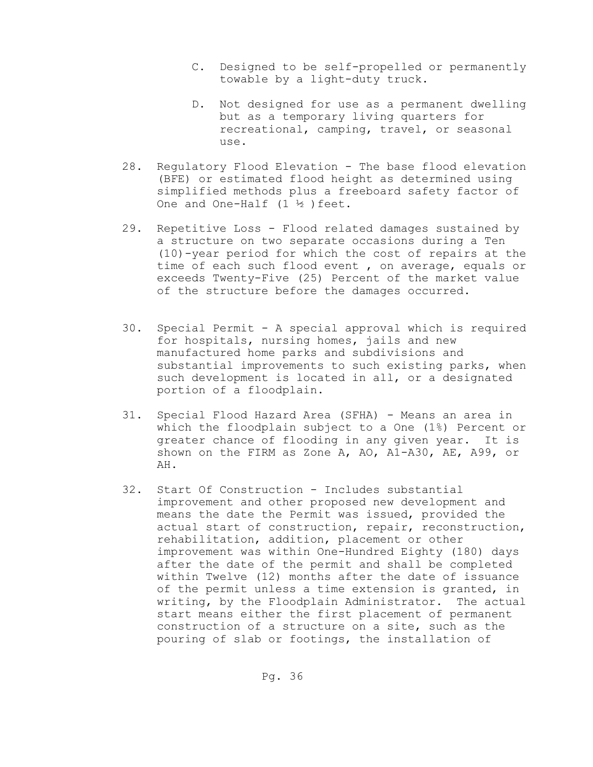- C. Designed to be self-propelled or permanently towable by a light-duty truck.
- D. Not designed for use as a permanent dwelling but as a temporary living quarters for recreational, camping, travel, or seasonal use.
- 28. Regulatory Flood Elevation The base flood elevation (BFE) or estimated flood height as determined using simplified methods plus a freeboard safety factor of One and One-Half (1 ½ )feet.
- 29. Repetitive Loss Flood related damages sustained by a structure on two separate occasions during a Ten (10)-year period for which the cost of repairs at the time of each such flood event , on average, equals or exceeds Twenty-Five (25) Percent of the market value of the structure before the damages occurred.
- 30. Special Permit A special approval which is required for hospitals, nursing homes, jails and new manufactured home parks and subdivisions and substantial improvements to such existing parks, when such development is located in all, or a designated portion of a floodplain.
- 31. Special Flood Hazard Area (SFHA) Means an area in which the floodplain subject to a One (1%) Percent or greater chance of flooding in any given year. It is shown on the FIRM as Zone A, AO, A1-A30, AE, A99, or AH.
- 32. Start Of Construction Includes substantial improvement and other proposed new development and means the date the Permit was issued, provided the actual start of construction, repair, reconstruction, rehabilitation, addition, placement or other improvement was within One-Hundred Eighty (180) days after the date of the permit and shall be completed within Twelve (12) months after the date of issuance of the permit unless a time extension is granted, in writing, by the Floodplain Administrator. The actual start means either the first placement of permanent construction of a structure on a site, such as the pouring of slab or footings, the installation of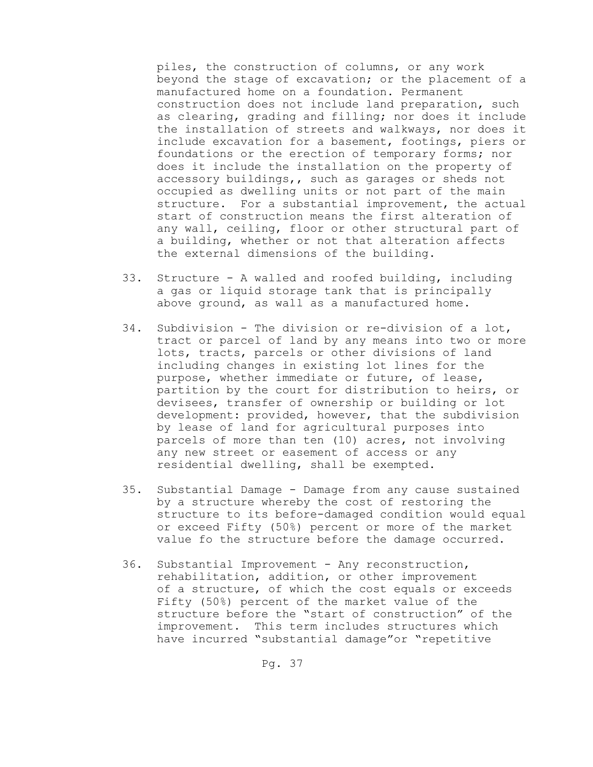piles, the construction of columns, or any work beyond the stage of excavation; or the placement of a manufactured home on a foundation. Permanent construction does not include land preparation, such as clearing, grading and filling; nor does it include the installation of streets and walkways, nor does it include excavation for a basement, footings, piers or foundations or the erection of temporary forms; nor does it include the installation on the property of accessory buildings,, such as garages or sheds not occupied as dwelling units or not part of the main structure. For a substantial improvement, the actual start of construction means the first alteration of any wall, ceiling, floor or other structural part of a building, whether or not that alteration affects the external dimensions of the building.

- 33. Structure A walled and roofed building, including a gas or liquid storage tank that is principally above ground, as wall as a manufactured home.
- 34. Subdivision The division or re-division of a lot, tract or parcel of land by any means into two or more lots, tracts, parcels or other divisions of land including changes in existing lot lines for the purpose, whether immediate or future, of lease, partition by the court for distribution to heirs, or devisees, transfer of ownership or building or lot development: provided, however, that the subdivision by lease of land for agricultural purposes into parcels of more than ten (10) acres, not involving any new street or easement of access or any residential dwelling, shall be exempted.
- 35. Substantial Damage Damage from any cause sustained by a structure whereby the cost of restoring the structure to its before-damaged condition would equal or exceed Fifty (50%) percent or more of the market value fo the structure before the damage occurred.
- 36. Substantial Improvement Any reconstruction, rehabilitation, addition, or other improvement of a structure, of which the cost equals or exceeds Fifty (50%) percent of the market value of the structure before the "start of construction" of the improvement. This term includes structures which have incurred "substantial damage"or "repetitive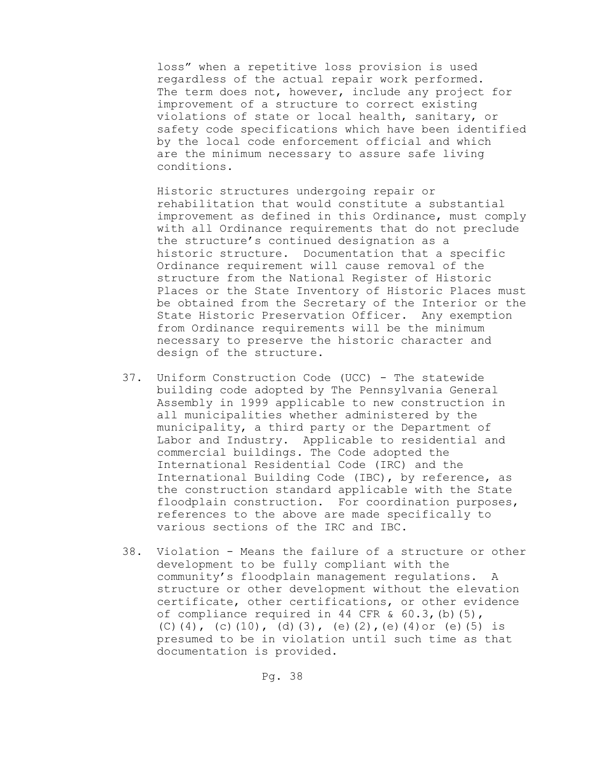loss" when a repetitive loss provision is used regardless of the actual repair work performed. The term does not, however, include any project for improvement of a structure to correct existing violations of state or local health, sanitary, or safety code specifications which have been identified by the local code enforcement official and which are the minimum necessary to assure safe living conditions.

Historic structures undergoing repair or rehabilitation that would constitute a substantial improvement as defined in this Ordinance, must comply with all Ordinance requirements that do not preclude the structure's continued designation as a historic structure. Documentation that a specific Ordinance requirement will cause removal of the structure from the National Register of Historic Places or the State Inventory of Historic Places must be obtained from the Secretary of the Interior or the State Historic Preservation Officer. Any exemption from Ordinance requirements will be the minimum necessary to preserve the historic character and design of the structure.

- 37. Uniform Construction Code (UCC) The statewide building code adopted by The Pennsylvania General Assembly in 1999 applicable to new construction in all municipalities whether administered by the municipality, a third party or the Department of Labor and Industry. Applicable to residential and commercial buildings. The Code adopted the International Residential Code (IRC) and the International Building Code (IBC), by reference, as the construction standard applicable with the State floodplain construction. For coordination purposes, references to the above are made specifically to various sections of the IRC and IBC.
- 38. Violation Means the failure of a structure or other development to be fully compliant with the community's floodplain management regulations. A structure or other development without the elevation certificate, other certifications, or other evidence of compliance required in 44 CFR  $\&$  60.3, (b)(5), (C)(4), (c)(10), (d)(3), (e)(2), (e)(4)or (e)(5) is presumed to be in violation until such time as that documentation is provided.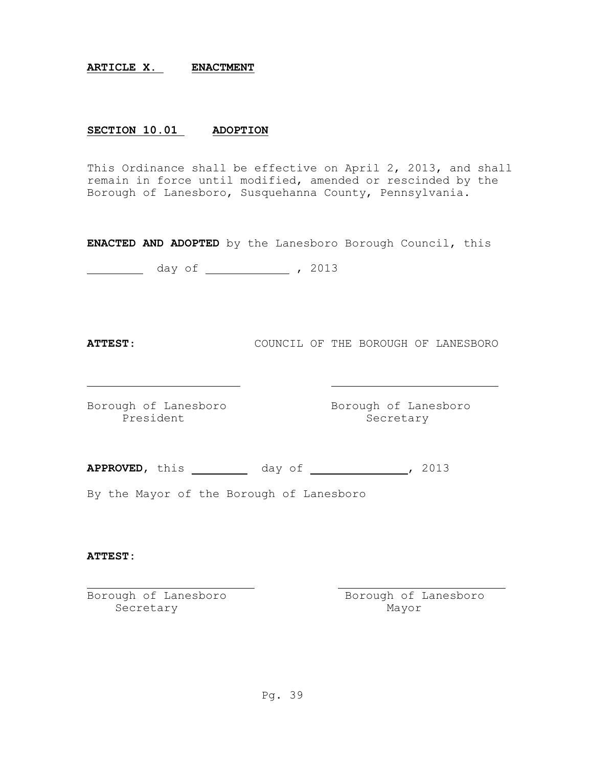### **ARTICLE X. ENACTMENT**

## **SECTION 10.01 ADOPTION**

This Ordinance shall be effective on April 2, 2013, and shall remain in force until modified, amended or rescinded by the Borough of Lanesboro, Susquehanna County, Pennsylvania.

**ENACTED AND ADOPTED** by the Lanesboro Borough Council, this

day of , 2013

**ATTEST**: COUNCIL OF THE BOROUGH OF LANESBORO

Borough of Lanesboro Borough of Lanesboro President Secretary

**APPROVED**, this day of , 2013

By the Mayor of the Borough of Lanesboro

### **ATTEST:**

Secretary Mayor

Borough of Lanesboro and Borough of Lanesboro